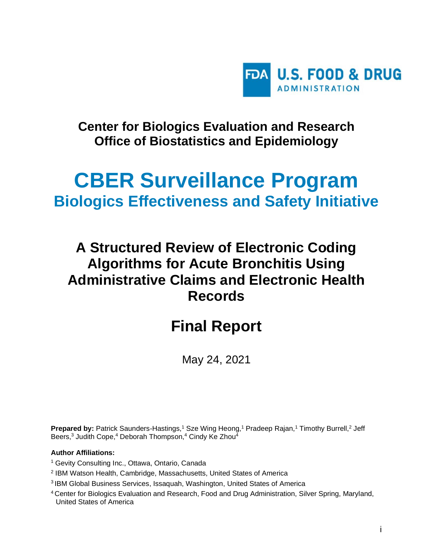

# **Center for Biologics Evaluation and Research Office of Biostatistics and Epidemiology**

# **CBER Surveillance Program Biologics Effectiveness and Safety Initiative**

# **A Structured Review of Electronic Coding Algorithms for Acute Bronchitis Using Administrative Claims and Electronic Health Records**

# **Final Report**

May 24, 2021

**Prepared by:** Patrick Saunders-Hastings,<sup>1</sup> Sze Wing Heong,<sup>1</sup> Pradeep Rajan,<sup>1</sup> Timothy Burrell,<sup>2</sup> Jeff Beers,<sup>3</sup> Judith Cope,<sup>4</sup> Deborah Thompson,<sup>4</sup> Cindy Ke Zhou<sup> $4$ </sup>

#### **Author Affiliations:**

- <sup>1</sup> Gevity Consulting Inc., Ottawa, Ontario, Canada
- 2 IBM Watson Health, Cambridge, Massachusetts, United States of America
- <sup>3</sup>IBM Global Business Services, Issaquah, Washington, United States of America
- <sup>4</sup>Center for Biologics Evaluation and Research, Food and Drug Administration, Silver Spring, Maryland, United States of America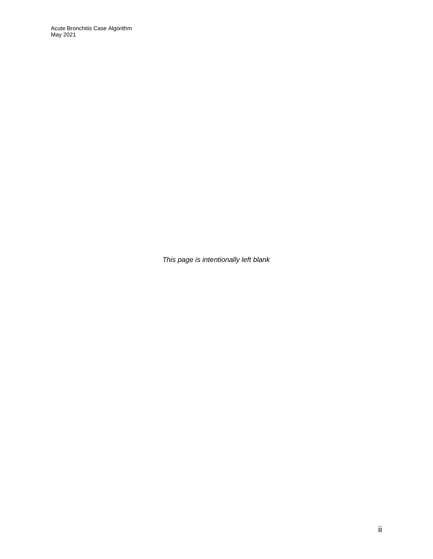Acute Bronchitis Case Algorithm May 2021

*This page is intentionally left blank*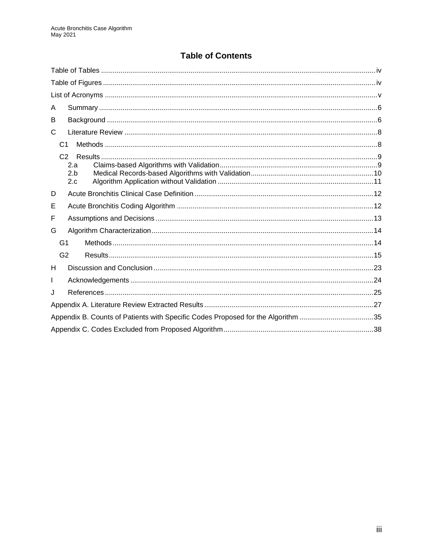# **Table of Contents**

| A                                                                                |
|----------------------------------------------------------------------------------|
| В                                                                                |
| C                                                                                |
| C <sub>1</sub>                                                                   |
| C2                                                                               |
| 2.a                                                                              |
| 2.b                                                                              |
| 2.c                                                                              |
| D                                                                                |
| Е                                                                                |
| F                                                                                |
| G                                                                                |
| G <sub>1</sub>                                                                   |
| G <sub>2</sub>                                                                   |
| H                                                                                |
| L                                                                                |
| J                                                                                |
|                                                                                  |
| Appendix B. Counts of Patients with Specific Codes Proposed for the Algorithm 35 |
|                                                                                  |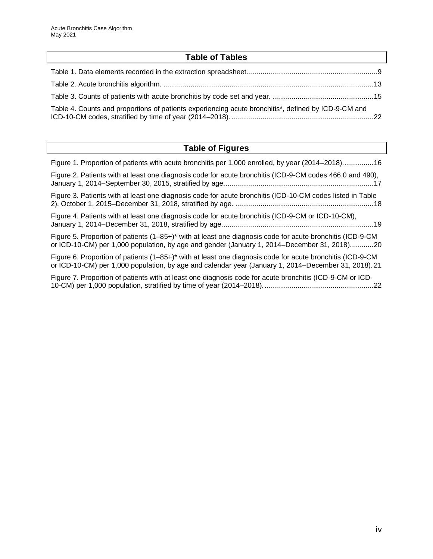# **Table of Tables**

<span id="page-3-0"></span>

| Table 4. Counts and proportions of patients experiencing acute bronchitis*, defined by ICD-9-CM and |  |
|-----------------------------------------------------------------------------------------------------|--|

# **Table of Figures**

<span id="page-3-1"></span>

| Figure 1. Proportion of patients with acute bronchitis per 1,000 enrolled, by year (2014–2018)16                                                                                                                  |
|-------------------------------------------------------------------------------------------------------------------------------------------------------------------------------------------------------------------|
| Figure 2. Patients with at least one diagnosis code for acute bronchitis (ICD-9-CM codes 466.0 and 490),                                                                                                          |
| Figure 3. Patients with at least one diagnosis code for acute bronchitis (ICD-10-CM codes listed in Table                                                                                                         |
| Figure 4. Patients with at least one diagnosis code for acute bronchitis (ICD-9-CM or ICD-10-CM),                                                                                                                 |
| Figure 5. Proportion of patients (1–85+)* with at least one diagnosis code for acute bronchitis (ICD-9-CM<br>or ICD-10-CM) per 1,000 population, by age and gender (January 1, 2014–December 31, 2018)20          |
| Figure 6. Proportion of patients (1–85+)* with at least one diagnosis code for acute bronchitis (ICD-9-CM<br>or ICD-10-CM) per 1,000 population, by age and calendar year (January 1, 2014–December 31, 2018). 21 |
| Figure 7. Proportion of patients with at least one diagnosis code for acute bronchitis (ICD-9-CM or ICD-                                                                                                          |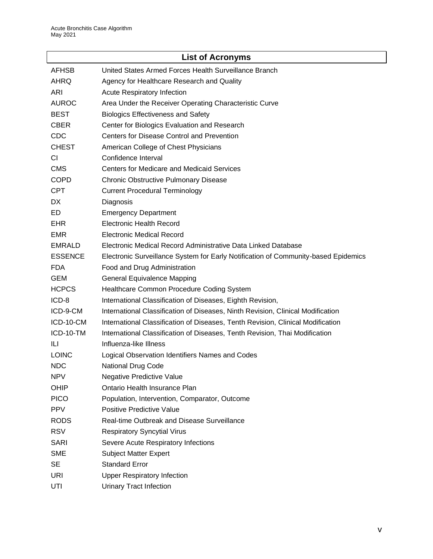<span id="page-4-0"></span>

| <b>List of Acronyms</b> |                                                                                    |  |  |  |  |  |
|-------------------------|------------------------------------------------------------------------------------|--|--|--|--|--|
| <b>AFHSB</b>            | United States Armed Forces Health Surveillance Branch                              |  |  |  |  |  |
| AHRQ                    | Agency for Healthcare Research and Quality                                         |  |  |  |  |  |
| ARI                     | <b>Acute Respiratory Infection</b>                                                 |  |  |  |  |  |
| <b>AUROC</b>            | Area Under the Receiver Operating Characteristic Curve                             |  |  |  |  |  |
| <b>BEST</b>             | <b>Biologics Effectiveness and Safety</b>                                          |  |  |  |  |  |
| <b>CBER</b>             | Center for Biologics Evaluation and Research                                       |  |  |  |  |  |
| <b>CDC</b>              | Centers for Disease Control and Prevention                                         |  |  |  |  |  |
| <b>CHEST</b>            | American College of Chest Physicians                                               |  |  |  |  |  |
| CI                      | Confidence Interval                                                                |  |  |  |  |  |
| <b>CMS</b>              | <b>Centers for Medicare and Medicaid Services</b>                                  |  |  |  |  |  |
| <b>COPD</b>             | <b>Chronic Obstructive Pulmonary Disease</b>                                       |  |  |  |  |  |
| <b>CPT</b>              | <b>Current Procedural Terminology</b>                                              |  |  |  |  |  |
| DX                      | Diagnosis                                                                          |  |  |  |  |  |
| ED                      | <b>Emergency Department</b>                                                        |  |  |  |  |  |
| <b>EHR</b>              | <b>Electronic Health Record</b>                                                    |  |  |  |  |  |
| <b>EMR</b>              | <b>Electronic Medical Record</b>                                                   |  |  |  |  |  |
| <b>EMRALD</b>           | Electronic Medical Record Administrative Data Linked Database                      |  |  |  |  |  |
| <b>ESSENCE</b>          | Electronic Surveillance System for Early Notification of Community-based Epidemics |  |  |  |  |  |
| FDA.                    | Food and Drug Administration                                                       |  |  |  |  |  |
| <b>GEM</b>              | <b>General Equivalence Mapping</b>                                                 |  |  |  |  |  |
| <b>HCPCS</b>            | Healthcare Common Procedure Coding System                                          |  |  |  |  |  |
| ICD-8                   | International Classification of Diseases, Eighth Revision,                         |  |  |  |  |  |
| ICD-9-CM                | International Classification of Diseases, Ninth Revision, Clinical Modification    |  |  |  |  |  |
| ICD-10-CM               | International Classification of Diseases, Tenth Revision, Clinical Modification    |  |  |  |  |  |
| ICD-10-TM               | International Classification of Diseases, Tenth Revision, Thai Modification        |  |  |  |  |  |
| IЦ                      | Influenza-like Illness                                                             |  |  |  |  |  |
| <b>LOINC</b>            | Logical Observation Identifiers Names and Codes                                    |  |  |  |  |  |
| <b>NDC</b>              | National Drug Code                                                                 |  |  |  |  |  |
| <b>NPV</b>              | Negative Predictive Value                                                          |  |  |  |  |  |
| OHIP                    | Ontario Health Insurance Plan                                                      |  |  |  |  |  |
| <b>PICO</b>             | Population, Intervention, Comparator, Outcome                                      |  |  |  |  |  |
| <b>PPV</b>              | Positive Predictive Value                                                          |  |  |  |  |  |
| <b>RODS</b>             | Real-time Outbreak and Disease Surveillance                                        |  |  |  |  |  |
| <b>RSV</b>              | <b>Respiratory Syncytial Virus</b>                                                 |  |  |  |  |  |
| <b>SARI</b>             | Severe Acute Respiratory Infections                                                |  |  |  |  |  |
| <b>SME</b>              | <b>Subject Matter Expert</b>                                                       |  |  |  |  |  |
| <b>SE</b>               | <b>Standard Error</b>                                                              |  |  |  |  |  |
| <b>URI</b>              | <b>Upper Respiratory Infection</b>                                                 |  |  |  |  |  |
| UTI                     | <b>Urinary Tract Infection</b>                                                     |  |  |  |  |  |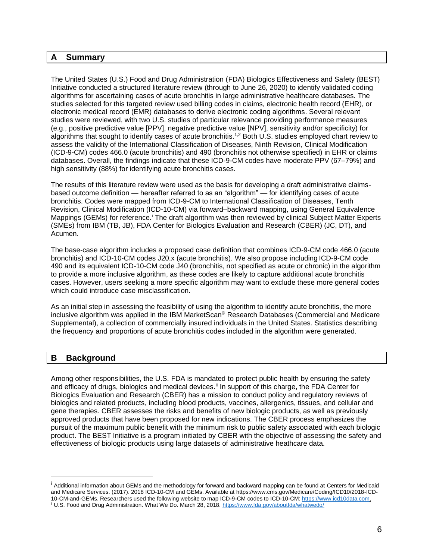#### <span id="page-5-0"></span>**A Summary**

The United States (U.S.) Food and Drug Administration (FDA) Biologics Effectiveness and Safety (BEST) Initiative conducted a structured literature review (through to June 26, 2020) to identify validated coding algorithms for ascertaining cases of acute bronchitis in large administrative healthcare databases. The studies selected for this targeted review used billing codes in claims, electronic health record (EHR), or electronic medical record (EMR) databases to derive electronic coding algorithms. Several relevant studies were reviewed, with two U.S. studies of particular relevance providing performance measures (e.g., positive predictive value [PPV], negative predictive value [NPV], sensitivity and/or specificity) for algorithms that sought to identify cases of acute bronchitis.<sup>1,2</sup> Both U.S. studies employed chart review to assess the validity of the International Classification of Diseases, Ninth Revision, Clinical Modification (ICD-9-CM) codes 466.0 (acute bronchitis) and 490 (bronchitis not otherwise specified) in EHR or claims databases. Overall, the findings indicate that these ICD-9-CM codes have moderate PPV (67–79%) and high sensitivity (88%) for identifying acute bronchitis cases.

The results of this literature review were used as the basis for developing a draft administrative claimsbased outcome definition — hereafter referred to as an "algorithm" — for identifying cases of acute bronchitis. Codes were mapped from ICD-9-CM to International Classification of Diseases, Tenth Revision, Clinical Modification (ICD-10-CM) via forward–backward mapping, using General Equivalence Mappings (GEMs) for reference.<sup>i</sup> The draft algorithm was then reviewed by clinical Subject Matter Experts (SMEs) from IBM (TB, JB), FDA Center for Biologics Evaluation and Research (CBER) (JC, DT), and Acumen.

The base-case algorithm includes a proposed case definition that combines ICD-9-CM code 466.0 (acute bronchitis) and ICD-10-CM codes J20.x (acute bronchitis). We also propose includingICD-9-CM code 490 and its equivalent ICD-10-CM code J40 (bronchitis, not specified as acute or chronic) in the algorithm to provide a more inclusive algorithm, as these codes are likely to capture additional acute bronchitis cases. However, users seeking a more specific algorithm may want to exclude these more general codes which could introduce case misclassification.

As an initial step in assessing the feasibility of using the algorithm to identify acute bronchitis, the more inclusive algorithm was applied in the IBM MarketScan® Research Databases (Commercial and Medicare Supplemental), a collection of commercially insured individuals in the United States. Statistics describing the frequency and proportions of acute bronchitis codes included in the algorithm were generated.

#### <span id="page-5-1"></span>**B Background**

Among other responsibilities, the U.S. FDA is mandated to protect public health by ensuring the safety and efficacy of drugs, biologics and medical devices.<sup>ii</sup> In support of this charge, the FDA Center for Biologics Evaluation and Research (CBER) has a mission to conduct policy and regulatory reviews of biologics and related products, including blood products, vaccines, allergenics, tissues, and cellular and gene therapies. CBER assesses the risks and benefits of new biologic products, as well as previously approved products that have been proposed for new indications. The CBER process emphasizes the pursuit of the maximum public benefit with the minimum risk to public safety associated with each biologic product. The BEST Initiative is a program initiated by CBER with the objective of assessing the safety and effectiveness of biologic products using large datasets of administrative heathcare data.

<sup>&</sup>lt;sup>i</sup> Additional information about GEMs and the methodology for forward and backward mapping can be found at Centers for Medicaid and Medicare Services. (2017). 2018 ICD-10-CM and GEMs. Available at https://www.cms.gov/Medicare/Coding/ICD10/2018-ICD-10-CM-and-GEMs. Researchers used the following website to map ICD-9-CM codes to ICD-10-CM[: https://www.icd10data.com.](https://www.icd10data.com/)

ii U.S. Food and Drug Administration. What We Do. March 28, 2018.<https://www.fda.gov/aboutfda/whatwedo/>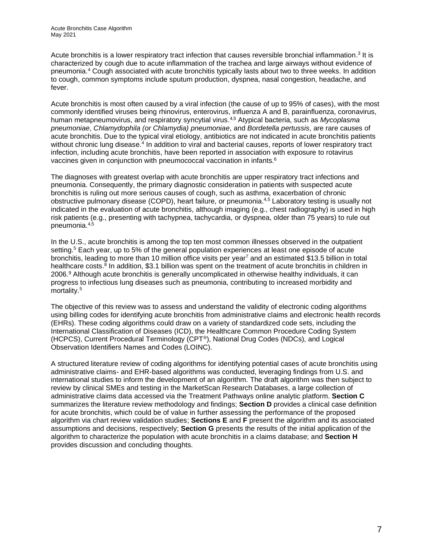Acute bronchitis is a lower respiratory tract infection that causes reversible bronchial inflammation.<sup>3</sup> It is characterized by cough due to acute inflammation of the trachea and large airways without evidence of pneumonia. <sup>4</sup> Cough associated with acute bronchitis typically lasts about two to three weeks. In addition to cough, common symptoms include sputum production, dyspnea, nasal congestion, headache, and fever.

Acute bronchitis is most often caused by a viral infection (the cause of up to 95% of cases), with the most commonly identified viruses being rhinovirus, enterovirus, influenza A and B, parainfluenza, coronavirus, human metapneumovirus, and respiratory syncytial virus. 4,5 Atypical bacteria, such as *Mycoplasma pneumoniae*, *Chlamydophila (or Chlamydia) pneumoniae*, and *Bordetella pertussis*, are rare causes of acute bronchitis. Due to the typical viral etiology, antibiotics are not indicated in acute bronchitis patients without chronic lung disease.<sup>4</sup> In addition to viral and bacterial causes, reports of lower respiratory tract infection, including acute bronchitis, have been reported in association with exposure to rotavirus vaccines given in conjunction with pneumococcal vaccination in infants.<sup>6</sup>

The diagnoses with greatest overlap with acute bronchitis are upper respiratory tract infections and pneumonia. Consequently, the primary diagnostic consideration in patients with suspected acute bronchitis is ruling out more serious causes of cough, such as asthma, exacerbation of chronic obstructive pulmonary disease (COPD), heart failure, or pneumonia. 4,5 Laboratory testing is usually not indicated in the evaluation of acute bronchitis, although imaging (e.g., chest radiography) is used in high risk patients (e.g., presenting with tachypnea, tachycardia, or dyspnea, older than 75 years) to rule out pneumonia. 4,5

In the U.S., acute bronchitis is among the top ten most common illnesses observed in the outpatient setting.<sup>5</sup> Each year, up to 5% of the general population experiences at least one episode of acute bronchitis, leading to more than 10 million office visits per year<sup>7</sup> and an estimated \$13.5 billion in total healthcare costs.<sup>8</sup> In addition, \$3.1 billion was spent on the treatment of acute bronchitis in children in 2006.<sup>9</sup> Although acute bronchitis is generally uncomplicated in otherwise healthy individuals, it can progress to infectious lung diseases such as pneumonia, contributing to increased morbidity and mortality. 5

The objective of this review was to assess and understand the validity of electronic coding algorithms using billing codes for identifying acute bronchitis from administrative claims and electronic health records (EHRs). These coding algorithms could draw on a variety of standardized code sets, including the International Classification of Diseases (ICD), the Healthcare Common Procedure Coding System (HCPCS), Current Procedural Terminology (CPT®), National Drug Codes (NDCs), and Logical Observation Identifiers Names and Codes (LOINC).

A structured literature review of coding algorithms for identifying potential cases of acute bronchitis using administrative claims- and EHR-based algorithms was conducted, leveraging findings from U.S. and international studies to inform the development of an algorithm. The draft algorithm was then subject to review by clinical SMEs and testing in the MarketScan Research Databases, a large collection of administrative claims data accessed via the Treatment Pathways online analytic platform. **[Section C](#page-7-0)** summarizes the literature review methodology and findings; **[Section D](#page-11-0)** provides a clinical case definition for acute bronchitis, which could be of value in further assessing the performance of the proposed algorithm via chart review validation studies; **[Sections](#page-11-1) E** and **[F](#page-12-0)** present the algorithm and its associated assumptions and decisions, respectively; **[Section G](#page-13-0)** presents the results of the initial application of the algorithm to characterize the population with acute bronchitis in a claims database; and **[Section H](#page-22-0)** provides discussion and concluding thoughts.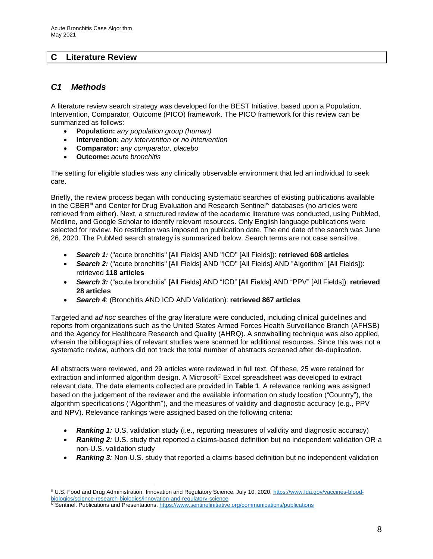#### <span id="page-7-0"></span>**C Literature Review**

#### <span id="page-7-1"></span>*C1 Methods*

A literature review search strategy was developed for the BEST Initiative, based upon a Population, Intervention, Comparator, Outcome (PICO) framework. The PICO framework for this review can be summarized as follows:

- **Population:** *any population group (human)*
- **Intervention:** *any intervention or no intervention*
- **Comparator:** *any comparator, placebo*
- **Outcome:** *acute bronchitis*

The setting for eligible studies was any clinically observable environment that led an individual to seek care.

Briefly, the review process began with conducting systematic searches of existing publications available in the CBER<sup>iii</sup> and Center for Drug Evaluation and Research Sentinel<sup>iv</sup> databases (no articles were retrieved from either). Next, a structured review of the academic literature was conducted, using PubMed, Medline, and Google Scholar to identify relevant resources. Only English language publications were selected for review. No restriction was imposed on publication date. The end date of the search was June 26, 2020. The PubMed search strategy is summarized below. Search terms are not case sensitive.

- *Search 1:* ("acute bronchitis" [All Fields] AND "ICD" [All Fields]): **retrieved 608 articles**
- *Search 2:* ("acute bronchitis" [All Fields] AND "ICD" [All Fields] AND "Algorithm" [All Fields]): retrieved **118 articles**
- *Search 3:* ("acute bronchitis" [All Fields] AND "ICD" [All Fields] AND "PPV" [All Fields]): **retrieved 28 articles**
- *Search 4*: (Bronchitis AND ICD AND Validation): **retrieved 867 articles**

Targeted and *ad hoc* searches of the gray literature were conducted, including clinical guidelines and reports from organizations such as the United States Armed Forces Health Surveillance Branch (AFHSB) and the Agency for Healthcare Research and Quality (AHRQ). A snowballing technique was also applied, wherein the bibliographies of relevant studies were scanned for additional resources. Since this was not a systematic review, authors did not track the total number of abstracts screened after de-duplication.

All abstracts were reviewed, and 29 articles were reviewed in full text. Of these, 25 were retained for extraction and informed algorithm design. A Microsoft® Excel spreadsheet was developed to extract relevant data. The data elements collected are provided in **[Table 1](#page-8-2)**. A relevance ranking was assigned based on the judgement of the reviewer and the available information on study location ("Country"), the algorithm specifications ("Algorithm"), and the measures of validity and diagnostic accuracy (e.g., PPV and NPV). Relevance rankings were assigned based on the following criteria:

- **Ranking 1:** U.S. validation study (i.e., reporting measures of validity and diagnostic accuracy)
- *Ranking 2:* U.S. study that reported a claims-based definition but no independent validation OR a non-U.S. validation study
- *Ranking 3:* Non-U.S. study that reported a claims-based definition but no independent validation

iii U.S. Food and Drug Administration. Innovation and Regulatory Science. July 10, 2020[. https://www.fda.gov/vaccines-blood](https://www.fda.gov/vaccines-blood-biologics/science-research-biologics/innovation-and-regulatory-science)[biologics/science-research-biologics/innovation-and-regulatory-science](https://www.fda.gov/vaccines-blood-biologics/science-research-biologics/innovation-and-regulatory-science)

iv Sentinel. Publications and Presentations. <https://www.sentinelinitiative.org/communications/publications>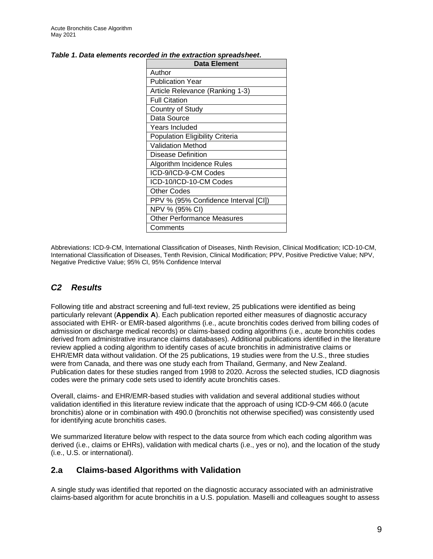| <b>Data Element</b>                    |
|----------------------------------------|
| Author                                 |
| <b>Publication Year</b>                |
| Article Relevance (Ranking 1-3)        |
| <b>Full Citation</b>                   |
| Country of Study                       |
| Data Source                            |
| Years Included                         |
| <b>Population Eligibility Criteria</b> |
| <b>Validation Method</b>               |
| Disease Definition                     |
| Algorithm Incidence Rules              |
| ICD-9/ICD-9-CM Codes                   |
| ICD-10/ICD-10-CM Codes                 |
| <b>Other Codes</b>                     |
| PPV % (95% Confidence Interval [CI])   |
| NPV % (95% CI)                         |
| <b>Other Performance Measures</b>      |
| Comments                               |

#### <span id="page-8-2"></span>*Table 1***.** *Data elements recorded in the extraction spreadsheet.*

Abbreviations: ICD-9-CM, International Classification of Diseases, Ninth Revision, Clinical Modification; ICD-10-CM, International Classification of Diseases, Tenth Revision, Clinical Modification; PPV, Positive Predictive Value; NPV, Negative Predictive Value; 95% CI, 95% Confidence Interval

#### <span id="page-8-0"></span>*C2 Results*

Following title and abstract screening and full-text review, 25 publications were identified as being particularly relevant (**[Appendix A](#page-26-0)**). Each publication reported either measures of diagnostic accuracy associated with EHR- or EMR-based algorithms (i.e., acute bronchitis codes derived from billing codes of admission or discharge medical records) or claims-based coding algorithms (i.e., acute bronchitis codes derived from administrative insurance claims databases). Additional publications identified in the literature review applied a coding algorithm to identify cases of acute bronchitis in administrative claims or EHR/EMR data without validation. Of the 25 publications, 19 studies were from the U.S., three studies were from Canada, and there was one study each from Thailand, Germany, and New Zealand. Publication dates for these studies ranged from 1998 to 2020. Across the selected studies, ICD diagnosis codes were the primary code sets used to identify acute bronchitis cases.

Overall, claims- and EHR/EMR-based studies with validation and several additional studies without validation identified in this literature review indicate that the approach of using ICD-9-CM 466.0 (acute bronchitis) alone or in combination with 490.0 (bronchitis not otherwise specified) was consistently used for identifying acute bronchitis cases.

We summarized literature below with respect to the data source from which each coding algorithm was derived (i.e., claims or EHRs), validation with medical charts (i.e., yes or no), and the location of the study (i.e., U.S. or international).

#### <span id="page-8-1"></span>**2.a Claims-based Algorithms with Validation**

A single study was identified that reported on the diagnostic accuracy associated with an administrative claims-based algorithm for acute bronchitis in a U.S. population. Maselli and colleagues sought to assess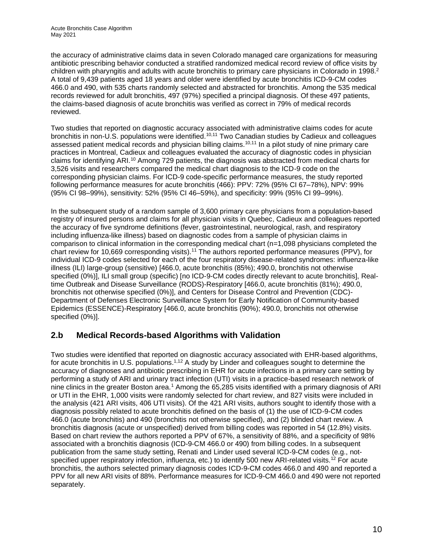the accuracy of administrative claims data in seven Colorado managed care organizations for measuring antibiotic prescribing behavior conducted a stratified randomized medical record review of office visits by children with pharyngitis and adults with acute bronchitis to primary care physicians in Colorado in 1998.<sup>2</sup> A total of 9,439 patients aged 18 years and older were identified by acute bronchitis ICD-9-CM codes 466.0 and 490, with 535 charts randomly selected and abstracted for bronchitis. Among the 535 medical records reviewed for adult bronchitis, 497 (97%) specified a principal diagnosis. Of these 497 patients, the claims-based diagnosis of acute bronchitis was verified as correct in 79% of medical records reviewed.

Two studies that reported on diagnostic accuracy associated with administrative claims codes for acute bronchitis in non-U.S. populations were identified.<sup>10,11</sup> Two Canadian studies by Cadieux and colleagues assessed patient medical records and physician billing claims.10,11 In a pilot study of nine primary care practices in Montreal, Cadieux and colleagues evaluated the accuracy of diagnostic codes in physician claims for identifying ARI.<sup>10</sup> Among 729 patients, the diagnosis was abstracted from medical charts for 3,526 visits and researchers compared the medical chart diagnosis to the ICD-9 code on the corresponding physician claims. For ICD-9 code-specific performance measures, the study reported following performance measures for acute bronchitis (466): PPV: 72% (95% CI 67–78%), NPV: 99% (95% CI 98–99%), sensitivity: 52% (95% CI 46–59%), and specificity: 99% (95% CI 99–99%).

In the subsequent study of a random sample of 3,600 primary care physicians from a population-based registry of insured persons and claims for all physician visits in Quebec, Cadieux and colleagues reported the accuracy of five syndrome definitions (fever, gastrointestinal, neurological, rash, and respiratory including influenza-like illness) based on diagnostic codes from a sample of physician claims in comparison to clinical information in the corresponding medical chart (n=1,098 physicians completed the chart review for 10,669 corresponding visits).<sup>11</sup> The authors reported performance measures (PPV), for individual ICD-9 codes selected for each of the four respiratory disease-related syndromes: influenza-like illness (ILI) large-group (sensitive) [466.0, acute bronchitis (85%); 490.0, bronchitis not otherwise specified (0%)], ILI small group (specific) [no ICD-9-CM codes directly relevant to acute bronchitis], Realtime Outbreak and Disease Surveillance (RODS)-Respiratory [466.0, acute bronchitis (81%); 490.0, bronchitis not otherwise specified (0%)], and Centers for Disease Control and Prevention (CDC)- Department of Defenses Electronic Surveillance System for Early Notification of Community-based Epidemics (ESSENCE)-Respiratory [466.0, acute bronchitis (90%); 490.0, bronchitis not otherwise specified (0%)].

#### <span id="page-9-0"></span>**2.b Medical Records-based Algorithms with Validation**

Two studies were identified that reported on diagnostic accuracy associated with EHR-based algorithms, for acute bronchitis in U.S. populations.<sup>1,12</sup> A study by Linder and colleagues sought to determine the accuracy of diagnoses and antibiotic prescribing in EHR for acute infections in a primary care setting by performing a study of ARI and urinary tract infection (UTI) visits in a practice-based research network of nine clinics in the greater Boston area.<sup>1</sup> Among the 65,285 visits identified with a primary diagnosis of ARI or UTI in the EHR, 1,000 visits were randomly selected for chart review, and 827 visits were included in the analysis (421 ARI visits, 406 UTI visits). Of the 421 ARI visits, authors sought to identify those with a diagnosis possibly related to acute bronchitis defined on the basis of (1) the use of ICD-9-CM codes 466.0 (acute bronchitis) and 490 (bronchitis not otherwise specified), and (2) blinded chart review. A bronchitis diagnosis (acute or unspecified) derived from billing codes was reported in 54 (12.8%) visits. Based on chart review the authors reported a PPV of 67%, a sensitivity of 88%, and a specificity of 98% associated with a bronchitis diagnosis (ICD-9-CM 466.0 or 490) from billing codes. In a subsequent publication from the same study setting, Renati and Linder used several ICD-9-CM codes (e.g., notspecified upper respiratory infection, influenza, etc.) to identify 500 new ARI-related visits.<sup>12</sup> For acute bronchitis, the authors selected primary diagnosis codes ICD-9-CM codes 466.0 and 490 and reported a PPV for all new ARI visits of 88%. Performance measures for ICD-9-CM 466.0 and 490 were not reported separately.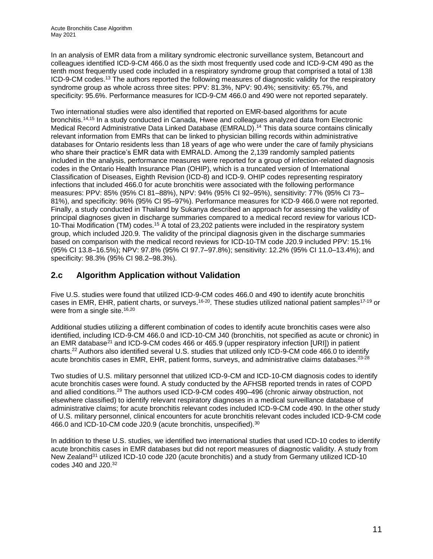In an analysis of EMR data from a military syndromic electronic surveillance system, Betancourt and colleagues identified ICD-9-CM 466.0 as the sixth most frequently used code and ICD-9-CM 490 as the tenth most frequently used code included in a respiratory syndrome group that comprised a total of 138 ICD-9-CM codes.<sup>13</sup> The authors reported the following measures of diagnostic validity for the respiratory syndrome group as whole across three sites: PPV: 81.3%, NPV: 90.4%; sensitivity: 65.7%, and specificity: 95.6%. Performance measures for ICD-9-CM 466.0 and 490 were not reported separately.

Two international studies were also identified that reported on EMR-based algorithms for acute bronchitis.<sup>14,15</sup> In a study conducted in Canada, Hwee and colleagues analyzed data from Electronic Medical Record Administrative Data Linked Database (EMRALD). <sup>14</sup> This data source contains clinically relevant information from EMRs that can be linked to physician billing records within administrative databases for Ontario residents less than 18 years of age who were under the care of family physicians who share their practice's EMR data with EMRALD. Among the 2,139 randomly sampled patients included in the analysis, performance measures were reported for a group of infection-related diagnosis codes in the Ontario Health Insurance Plan (OHIP), which is a truncated version of International Classification of Diseases, Eighth Revision (ICD-8) and ICD-9. OHIP codes representing respiratory infections that included 466.0 for acute bronchitis were associated with the following performance measures: PPV: 85% (95% CI 81–88%), NPV: 94% (95% CI 92–95%), sensitivity: 77% (95% CI 73– 81%), and specificity: 96% (95% CI 95–97%). Performance measures for ICD-9 466.0 were not reported. Finally, a study conducted in Thailand by Sukanya described an approach for assessing the validity of principal diagnoses given in discharge summaries compared to a medical record review for various ICD-10-Thai Modification (TM) codes.<sup>15</sup> A total of 23,202 patients were included in the respiratory system group, which included J20.9. The validity of the principal diagnosis given in the discharge summaries based on comparison with the medical record reviews for ICD-10-TM code J20.9 included PPV: 15.1% (95% CI 13.8–16.5%); NPV: 97.8% (95% CI 97.7–97.8%); sensitivity: 12.2% (95% CI 11.0–13.4%); and specificity: 98.3% (95% CI 98.2–98.3%).

## <span id="page-10-0"></span>**2.c Algorithm Application without Validation**

Five U.S. studies were found that utilized ICD-9-CM codes 466.0 and 490 to identify acute bronchitis cases in EMR, EHR, patient charts, or surveys.<sup>16-20</sup>. These studies utilized national patient samples<sup>17-19</sup> or were from a single site.<sup>16,20</sup>

Additional studies utilizing a different combination of codes to identify acute bronchitis cases were also identified, including ICD-9-CM 466.0 and ICD-10-CM J40 (bronchitis, not specified as acute or chronic) in an EMR database<sup>21</sup> and ICD-9-CM codes 466 or 465.9 (upper respiratory infection [URI]) in patient charts.<sup>22</sup> Authors also identified several U.S. studies that utilized only ICD-9-CM code 466.0 to identify acute bronchitis cases in EMR, EHR, patient forms, surveys, and administrative claims databases.<sup>23-28</sup>

Two studies of U.S. military personnel that utilized ICD-9-CM and ICD-10-CM diagnosis codes to identify acute bronchitis cases were found. A study conducted by the AFHSB reported trends in rates of COPD and allied conditions.<sup>29</sup> The authors used ICD-9-CM codes 490–496 (chronic airway obstruction, not elsewhere classified) to identify relevant respiratory diagnoses in a medical surveillance database of administrative claims; for acute bronchitis relevant codes included ICD-9-CM code 490. In the other study of U.S. military personnel, clinical encounters for acute bronchitis relevant codes included ICD-9-CM code 466.0 and ICD-10-CM code J20.9 (acute bronchitis, unspecified).<sup>30</sup>

In addition to these U.S. studies, we identified two international studies that used ICD-10 codes to identify acute bronchitis cases in EMR databases but did not report measures of diagnostic validity. A study from New Zealand<sup>31</sup> utilized ICD-10 code J20 (acute bronchitis) and a study from Germany utilized ICD-10 codes J40 and J20.32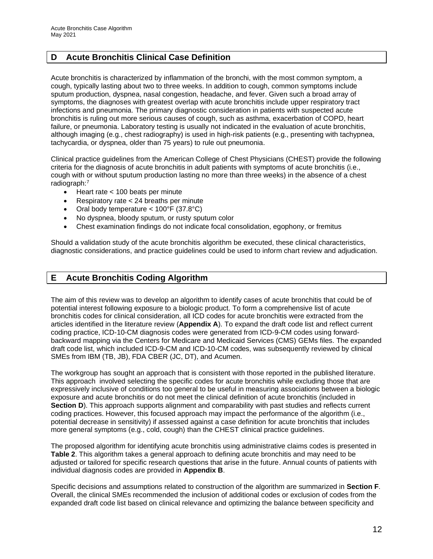## <span id="page-11-0"></span>**D Acute Bronchitis Clinical Case Definition**

Acute bronchitis is characterized by inflammation of the bronchi, with the most common symptom, a cough, typically lasting about two to three weeks. In addition to cough, common symptoms include sputum production, dyspnea, nasal congestion, headache, and fever. Given such a broad array of symptoms, the diagnoses with greatest overlap with acute bronchitis include upper respiratory tract infections and pneumonia. The primary diagnostic consideration in patients with suspected acute bronchitis is ruling out more serious causes of cough, such as asthma, exacerbation of COPD, heart failure, or pneumonia. Laboratory testing is usually not indicated in the evaluation of acute bronchitis, although imaging (e.g., chest radiography) is used in high-risk patients (e.g., presenting with tachypnea, tachycardia, or dyspnea, older than 75 years) to rule out pneumonia.

Clinical practice guidelines from the American College of Chest Physicians (CHEST) provide the following criteria for the diagnosis of acute bronchitis in adult patients with symptoms of acute bronchitis (i.e., cough with or without sputum production lasting no more than three weeks) in the absence of a chest radiograph:<sup>7</sup>

- Heart rate < 100 beats per minute
- Respiratory rate < 24 breaths per minute
- Oral body temperature < 100°F (37.8°C)
- No dyspnea, bloody sputum, or rusty sputum color
- Chest examination findings do not indicate focal consolidation, egophony, or fremitus

Should a validation study of the acute bronchitis algorithm be executed, these clinical characteristics, diagnostic considerations, and practice guidelines could be used to inform chart review and adjudication.

#### <span id="page-11-1"></span>**E Acute Bronchitis Coding Algorithm**

The aim of this review was to develop an algorithm to identify cases of acute bronchitis that could be of potential interest following exposure to a biologic product. To form a comprehensive list of acute bronchitis codes for clinical consideration, all ICD codes for acute bronchitis were extracted from the articles identified in the literature review (**[Appendix A](#page-26-0)**). To expand the draft code list and reflect current coding practice, ICD-10-CM diagnosis codes were generated from ICD-9-CM codes using forwardbackward mapping via the Centers for Medicare and Medicaid Services (CMS) GEMs files. The expanded draft code list, which included ICD-9-CM and ICD-10-CM codes, was subsequently reviewed by clinical SMEs from IBM (TB, JB), FDA CBER (JC, DT), and Acumen.

The workgroup has sought an approach that is consistent with those reported in the published literature. This approach involved selecting the specific codes for acute bronchitis while excluding those that are expressively inclusive of conditions too general to be useful in measuring associations between a biologic exposure and acute bronchitis or do not meet the clinical definition of acute bronchitis (included in **[Section D](#page-11-0)**). This approach supports alignment and comparability with past studies and reflects current coding practices. However, this focused approach may impact the performance of the algorithm (i.e., potential decrease in sensitivity) if assessed against a case definition for acute bronchitis that includes more general symptoms (e.g., cold, cough) than the CHEST clinical practice guidelines.

The proposed algorithm for identifying acute bronchitis using administrative claims codes is presented i[n](#page-12-2) **[Table](#page-12-2) 2**. This algorithm takes a general approach to defining acute bronchitis and may need to be adjusted or tailored for specific research questions that arise in the future. Annual counts of patients with individual diagnosis codes are provided in **[Appendix B](#page-34-0)**.

Specific decisions and assumptions related to construction of the algorithm are summarized in **[Section F](#page-12-0)**. Overall, the clinical SMEs recommended the inclusion of additional codes or exclusion of codes from the expanded draft code list based on clinical relevance and optimizing the balance between specificity and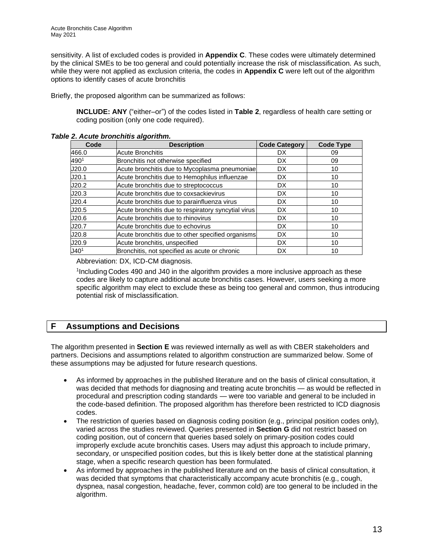sensitivity. A list of excluded codes is provided in **[Appendix C](#page-37-0)**. These codes were ultimately determined by the clinical SMEs to be too general and could potentially increase the risk of misclassification. As such, while they were not applied as exclusion criteria, the codes in **[Appendix C](#page-37-0)** were left out of the algorithm options to identify cases of acute bronchitis

Briefly, the proposed algorithm can be summarized as follows:

**INCLUDE: ANY** ("either–or") of the codes listed in **[Table 2](#page-12-1)**, regardless of health care setting or coding position (only one code required).

| Code             | <b>Description</b>                                  | <b>Code Category</b> | <b>Code Type</b> |
|------------------|-----------------------------------------------------|----------------------|------------------|
| 466.0            | <b>Acute Bronchitis</b>                             | DX                   | 09               |
| 4901             | Bronchitis not otherwise specified                  | DX.                  | 09               |
| J20.0            | Acute bronchitis due to Mycoplasma pneumoniae       | DX.                  | 10               |
| J20.1            | Acute bronchitis due to Hemophilus influenzae       | DX.                  | 10               |
| J20.2            | Acute bronchitis due to streptococcus               | DX.                  | 10               |
| J20.3            | Acute bronchitis due to coxsackievirus              | DX.                  | 10               |
| J20.4            | Acute bronchitis due to parainfluenza virus         | DX                   | 10               |
| J20.5            | Acute bronchitis due to respiratory syncytial virus | DX.                  | 10               |
| J20.6            | Acute bronchitis due to rhinovirus                  | DX.                  | 10               |
| J20.7            | Acute bronchitis due to echovirus                   | <b>DX</b>            | 10               |
| J20.8            | Acute bronchitis due to other specified organisms   | DX.                  | 10               |
| J20.9            | Acute bronchitis, unspecified                       | <b>DX</b>            | 10               |
| J40 <sup>1</sup> | Bronchitis, not specified as acute or chronic       | <b>DX</b>            | 10               |

#### <span id="page-12-2"></span><span id="page-12-1"></span>*Table 2***.** *Acute bronchitis algorithm.*

Abbreviation: DX, ICD-CM diagnosis.

<sup>1</sup>Including Codes 490 and J40 in the algorithm provides a more inclusive approach as these codes are likely to capture additional acute bronchitis cases. However, users seeking a more specific algorithm may elect to exclude these as being too general and common, thus introducing potential risk of misclassification.

#### <span id="page-12-0"></span>**F Assumptions and Decisions**

The algorithm presented in **[Section E](#page-11-1)** was reviewed internally as well as with CBER stakeholders and partners. Decisions and assumptions related to algorithm construction are summarized below. Some of these assumptions may be adjusted for future research questions.

- As informed by approaches in the published literature and on the basis of clinical consultation, it was decided that methods for diagnosing and treating acute bronchitis — as would be reflected in procedural and prescription coding standards — were too variable and general to be included in the code-based definition. The proposed algorithm has therefore been restricted to ICD diagnosis codes.
- The restriction of queries based on diagnosis coding position (e.g., principal position codes only), varied across the studies reviewed. Queries presented in **[Section G](#page-13-0)** did not restrict based on coding position, out of concern that queries based solely on primary-position codes could improperly exclude acute bronchitis cases. Users may adjust this approach to include primary, secondary, or unspecified position codes, but this is likely better done at the statistical planning stage, when a specific research question has been formulated.
- As informed by approaches in the published literature and on the basis of clinical consultation, it was decided that symptoms that characteristically accompany acute bronchitis (e.g., cough, dyspnea, nasal congestion, headache, fever, common cold) are too general to be included in the algorithm.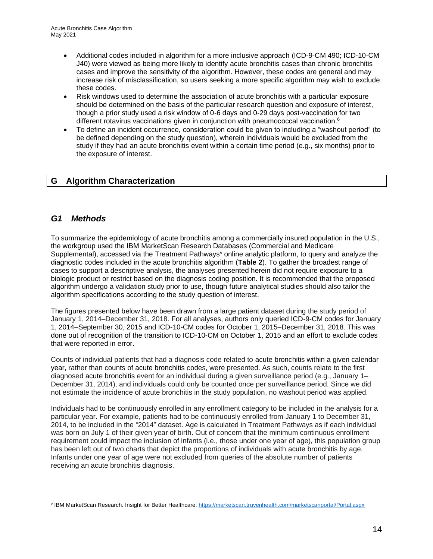- Additional codes included in algorithm for a more inclusive approach (ICD-9-CM 490; ICD-10-CM J40) were viewed as being more likely to identify acute bronchitis cases than chronic bronchitis cases and improve the sensitivity of the algorithm. However, these codes are general and may increase risk of misclassification, so users seeking a more specific algorithm may wish to exclude these codes.
- Risk windows used to determine the association of acute bronchitis with a particular exposure should be determined on the basis of the particular research question and exposure of interest, though a prior study used a risk window of 0-6 days and 0-29 days post-vaccination for two different rotavirus vaccinations given in conjunction with pneumococcal vaccination.<sup>6</sup>
- To define an incident occurrence, consideration could be given to including a "washout period" (to be defined depending on the study question), wherein individuals would be excluded from the study if they had an acute bronchitis event within a certain time period (e.g., six months) prior to the exposure of interest.

## <span id="page-13-1"></span><span id="page-13-0"></span>**G Algorithm Characterization**

#### *G1 Methods*

To summarize the epidemiology of acute bronchitis among a commercially insured population in the U.S., the workgroup used the IBM MarketScan Research Databases (Commercial and Medicare Supplemental), accessed via the Treatment Pathways<sup>v</sup> online analytic platform, to query and analyze the diagnostic codes included in the acute bronchitis algorithm (**[Table 2](#page-12-1)**). To gather the broadest range of cases to support a descriptive analysis, the analyses presented herein did not require exposure to a biologic product or restrict based on the diagnosis coding position. It is recommended that the proposed algorithm undergo a validation study prior to use, though future analytical studies should also tailor the algorithm specifications according to the study question of interest.

The figures presented below have been drawn from a large patient dataset during the study period of January 1, 2014–December 31, 2018. For all analyses, authors only queried ICD-9-CM codes for January 1, 2014–September 30, 2015 and ICD-10-CM codes for October 1, 2015–December 31, 2018. This was done out of recognition of the transition to ICD-10-CM on October 1, 2015 and an effort to exclude codes that were reported in error.

Counts of individual patients that had a diagnosis code related to acute bronchitis within a given calendar year, rather than counts of acute bronchitis codes, were presented. As such, counts relate to the first diagnosed acute bronchitis event for an individual during a given surveillance period (e.g., January 1– December 31, 2014), and individuals could only be counted once per surveillance period. Since we did not estimate the incidence of acute bronchitis in the study population, no washout period was applied.

Individuals had to be continuously enrolled in any enrollment category to be included in the analysis for a particular year. For example, patients had to be continuously enrolled from January 1 to December 31, 2014, to be included in the "2014" dataset. Age is calculated in Treatment Pathways as if each individual was born on July 1 of their given year of birth. Out of concern that the minimum continuous enrollment requirement could impact the inclusion of infants (i.e., those under one year of age), this population group has been left out of two charts that depict the proportions of individuals with acute bronchitis by age. Infants under one year of age were not excluded from queries of the absolute number of patients receiving an acute bronchitis diagnosis.

v IBM MarketScan Research. Insight for Better Healthcare. <https://marketscan.truvenhealth.com/marketscanportal/Portal.aspx>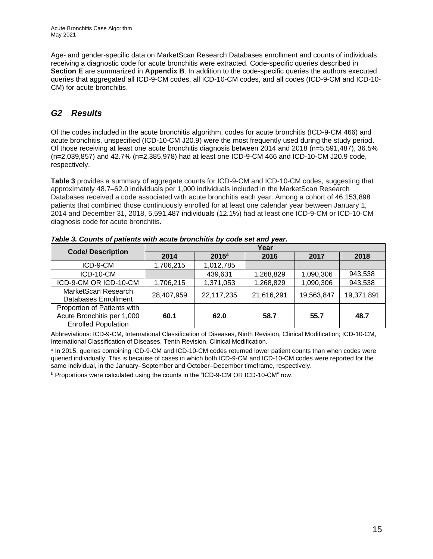Age- and gender-specific data on MarketScan Research Databases enrollment and counts of individuals receiving a diagnostic code for acute bronchitis were extracted. Code-specific queries described in **[Section E](#page-11-1)** are summarized in **[Appendix B](#page-34-0)**. In addition to the code-specific queries the authors executed queries that aggregated all ICD-9-CM codes, all ICD-10-CM codes, and all codes (ICD-9-CM and ICD-10- CM) for acute bronchitis.

# <span id="page-14-0"></span>*G2 Results*

Of the codes included in the acute bronchitis algorithm, codes for acute bronchitis (ICD-9-CM 466) and acute bronchitis, unspecified (ICD-10-CM J20.9) were the most frequently used during the study period. Of those receiving at least one acute bronchitis diagnosis between 2014 and 2018 (n=5,591,487), 36.5% (n=2,039,857) and 42.7% (n=2,385,978) had at least one ICD-9-CM 466 and ICD-10-CM J20.9 code, respectively.

**[Table 3](#page-14-1)** provides a summary of aggregate counts for ICD-9-CM and ICD-10-CM codes, suggesting that approximately 48.7–62.0 individuals per 1,000 individuals included in the MarketScan Research Databases received a code associated with acute bronchitis each year. Among a cohort of 46,153,898 patients that combined those continuously enrolled for at least one calendar year between January 1, 2014 and December 31, 2018, 5,591,487 individuals (12.1%) had at least one ICD-9-CM or ICD-10-CM diagnosis code for acute bronchitis.

|                                                           | Year       |            |            |            |            |  |  |  |
|-----------------------------------------------------------|------------|------------|------------|------------|------------|--|--|--|
| <b>Code/ Description</b>                                  | 2014       | $2015^a$   | 2016       | 2017       | 2018       |  |  |  |
| ICD-9-CM                                                  | 1,706,215  | 1,012,785  |            |            |            |  |  |  |
| ICD-10-CM                                                 |            | 439,631    | 1,268,829  | 1,090,306  | 943,538    |  |  |  |
| ICD-9-CM OR ICD-10-CM                                     | 1,706,215  | 1,371,053  | 1,268,829  | 1,090,306  | 943,538    |  |  |  |
| MarketScan Research<br>Databases Enrollment               | 28,407,959 | 22,117,235 | 21,616,291 | 19,563,847 | 19,371,891 |  |  |  |
| Proportion of Patients with<br>Acute Bronchitis per 1,000 | 60.1       | 62.0       | 58.7       | 55.7       | 48.7       |  |  |  |
| <b>Enrolled Population</b>                                |            |            |            |            |            |  |  |  |

<span id="page-14-1"></span>*Table 3. Counts of patients with acute bronchitis by code set and year.*

Abbreviations: ICD-9-CM, International Classification of Diseases, Ninth Revision, Clinical Modification; ICD-10-CM, International Classification of Diseases, Tenth Revision, Clinical Modification.

<sup>a</sup> In 2015, queries combining ICD-9-CM and ICD-10-CM codes returned lower patient counts than when codes were queried individually. This is because of cases in which both ICD-9-CM and ICD-10-CM codes were reported for the same individual, in the January–September and October–December timeframe, respectively.

<sup>b</sup> Proportions were calculated using the counts in the "ICD-9-CM OR ICD-10-CM" row.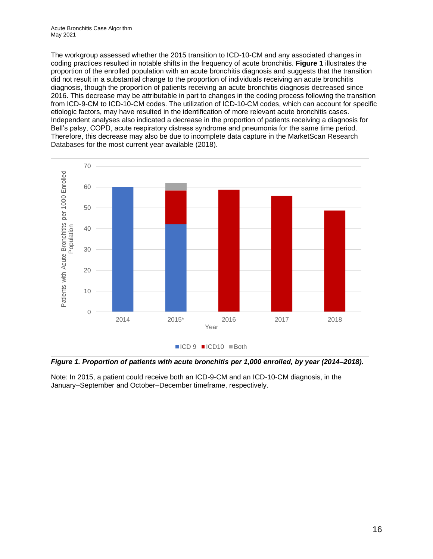The workgroup assessed whether the 2015 transition to ICD-10-CM and any associated changes in coding practices resulted in notable shifts in the frequency of acute bronchitis. **[Figure 1](#page-15-0)** illustrates the proportion of the enrolled population with an acute bronchitis diagnosis and suggests that the transition did not result in a substantial change to the proportion of individuals receiving an acute bronchitis diagnosis, though the proportion of patients receiving an acute bronchitis diagnosis decreased since 2016. This decrease may be attributable in part to changes in the coding process following the transition from ICD-9-CM to ICD-10-CM codes. The utilization of ICD-10-CM codes, which can account for specific etiologic factors, may have resulted in the identification of more relevant acute bronchitis cases. Independent analyses also indicated a decrease in the proportion of patients receiving a diagnosis for Bell's palsy, COPD, acute respiratory distress syndrome and pneumonia for the same time period. Therefore, this decrease may also be due to incomplete data capture in the MarketScan Research Databases for the most current year available (2018).



<span id="page-15-0"></span>*Figure 1. Proportion of patients with acute bronchitis per 1,000 enrolled, by year (2014–2018).*

Note: In 2015, a patient could receive both an ICD-9-CM and an ICD-10-CM diagnosis, in the January–September and October–December timeframe, respectively.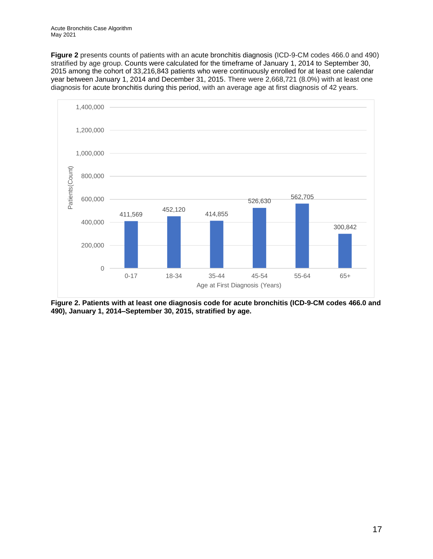**[Figure 2](#page-16-0)** presents counts of patients with an acute bronchitis diagnosis (ICD-9-CM codes 466.0 and 490) stratified by age group. Counts were calculated for the timeframe of January 1, 2014 to September 30, 2015 among the cohort of 33,216,843 patients who were continuously enrolled for at least one calendar year between January 1, 2014 and December 31, 2015. There were 2,668,721 (8.0%) with at least one diagnosis for acute bronchitis during this period, with an average age at first diagnosis of 42 years.



<span id="page-16-0"></span>**Figure 2. Patients with at least one diagnosis code for acute bronchitis (ICD-9-CM codes 466.0 and 490), January 1, 2014–September 30, 2015, stratified by age.**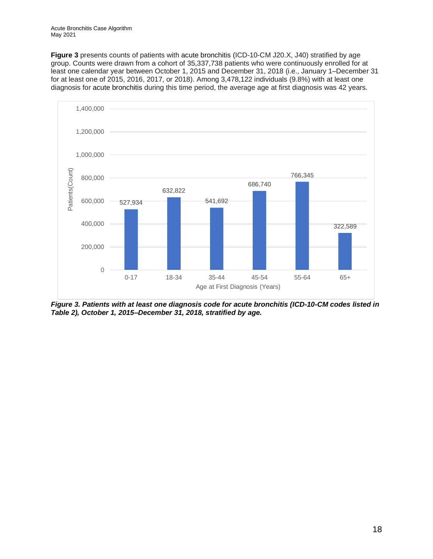Acute Bronchitis Case Algorithm May 2021

**[Figure 3](#page-17-0)** presents counts of patients with acute bronchitis (ICD-10-CM J20.X, J40) stratified by age group. Counts were drawn from a cohort of 35,337,738 patients who were continuously enrolled for at least one calendar year between October 1, 2015 and December 31, 2018 (i.e., January 1–December 31 for at least one of 2015, 2016, 2017, or 2018). Among 3,478,122 individuals (9.8%) with at least one diagnosis for acute bronchitis during this time period, the average age at first diagnosis was 42 years.



<span id="page-17-0"></span>*Figure 3. Patients with at least one diagnosis code for acute bronchitis (ICD-10-CM codes listed in [Table 2\)](#page-12-1), October 1, 2015–December 31, 2018, stratified by age.*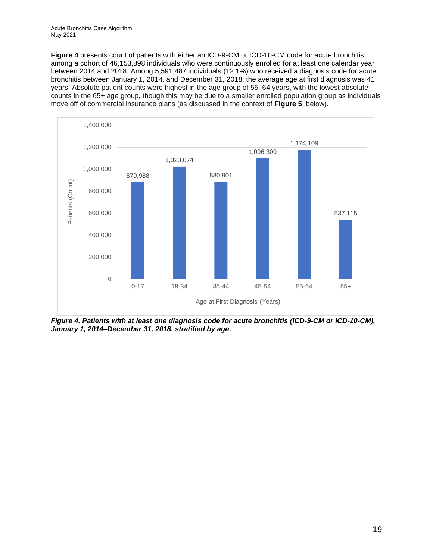Acute Bronchitis Case Algorithm May 2021

**[Figure 4](#page-18-0)** presents count of patients with either an ICD-9-CM or ICD-10-CM code for acute bronchitis among a cohort of 46,153,898 individuals who were continuously enrolled for at least one calendar year between 2014 and 2018. Among 5,591,487 individuals (12.1%) who received a diagnosis code for acute bronchitis between January 1, 2014, and December 31, 2018, the average age at first diagnosis was 41 years. Absolute patient counts were highest in the age group of 55–64 years, with the lowest absolute counts in the 65+ age group, though this may be due to a smaller enrolled population group as individuals move off of commercial insurance plans (as discussed in the context of **[Figure 5](#page-19-0)**, below).



<span id="page-18-0"></span>*Figure 4. Patients with at least one diagnosis code for acute bronchitis (ICD-9-CM or ICD-10-CM), January 1, 2014–December 31, 2018, stratified by age.*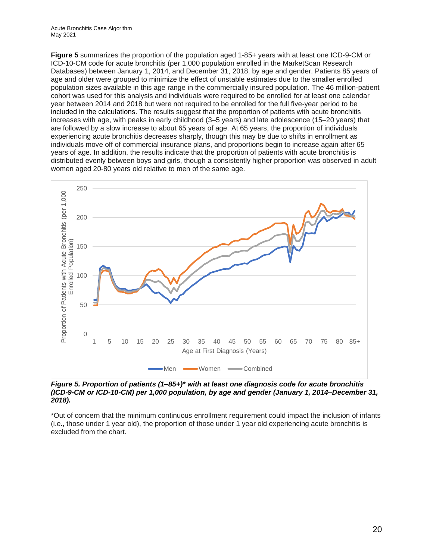**[Figure 5](#page-19-0)** summarizes the proportion of the population aged 1-85+ years with at least one ICD-9-CM or ICD-10-CM code for acute bronchitis (per 1,000 population enrolled in the MarketScan Research Databases) between January 1, 2014, and December 31, 2018, by age and gender. Patients 85 years of age and older were grouped to minimize the effect of unstable estimates due to the smaller enrolled population sizes available in this age range in the commercially insured population. The 46 million-patient cohort was used for this analysis and individuals were required to be enrolled for at least one calendar year between 2014 and 2018 but were not required to be enrolled for the full five-year period to be included in the calculations. The results suggest that the proportion of patients with acute bronchitis increases with age, with peaks in early childhood (3–5 years) and late adolescence (15–20 years) that are followed by a slow increase to about 65 years of age. At 65 years, the proportion of individuals experiencing acute bronchitis decreases sharply, though this may be due to shifts in enrollment as individuals move off of commercial insurance plans, and proportions begin to increase again after 65 years of age. In addition, the results indicate that the proportion of patients with acute bronchitis is distributed evenly between boys and girls, though a consistently higher proportion was observed in adult women aged 20-80 years old relative to men of the same age.



<span id="page-19-0"></span>*Figure 5. Proportion of patients (1–85+)\* with at least one diagnosis code for acute bronchitis (ICD-9-CM or ICD-10-CM) per 1,000 population, by age and gender (January 1, 2014–December 31, 2018).*

\*Out of concern that the minimum continuous enrollment requirement could impact the inclusion of infants (i.e., those under 1 year old), the proportion of those under 1 year old experiencing acute bronchitis is excluded from the chart.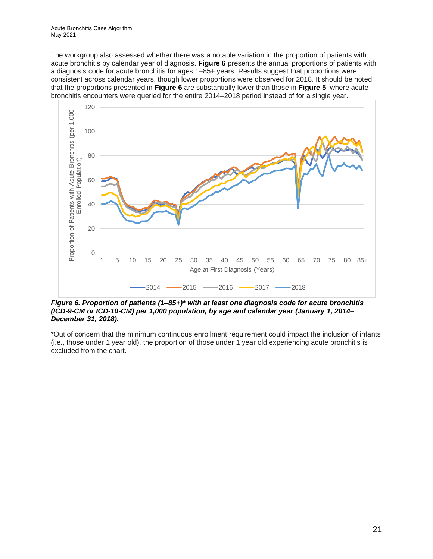The workgroup also assessed whether there was a notable variation in the proportion of patients with acute bronchitis by calendar year of diagnosis. **[Figure 6](#page-20-0)** presents the annual proportions of patients with a diagnosis code for acute bronchitis for ages 1–85+ years. Results suggest that proportions were consistent across calendar years, though lower proportions were observed for 2018. It should be noted that the proportions presented in **[Figure 6](#page-20-0)** are substantially lower than those in **[Figure 5](#page-19-0)**, where acute bronchitis encounters were queried for the entire 2014–2018 period instead of for a single year.



<span id="page-20-0"></span>*Figure 6. Proportion of patients (1–85+)\* with at least one diagnosis code for acute bronchitis (ICD-9-CM or ICD-10-CM) per 1,000 population, by age and calendar year (January 1, 2014– December 31, 2018).*

\*Out of concern that the minimum continuous enrollment requirement could impact the inclusion of infants (i.e., those under 1 year old), the proportion of those under 1 year old experiencing acute bronchitis is excluded from the chart.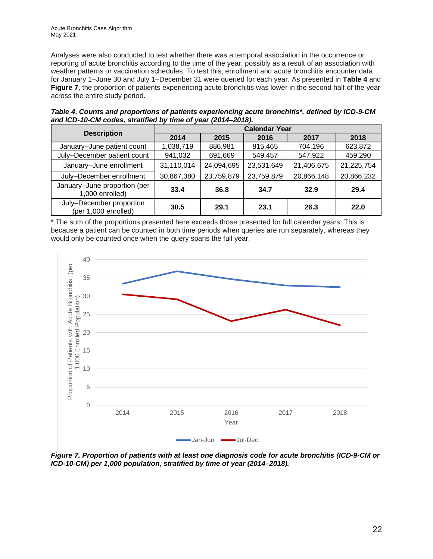Analyses were also conducted to test whether there was a temporal association in the occurrence or reporting of acute bronchitis according to the time of the year, possibly as a result of an association with weather patterns or vaccination schedules. To test this, enrollment and acute bronchitis encounter data for January 1–June 30 and July 1–December 31 were queried for each year. As presented in **[Table 4](#page-21-0)** and **[Figure 7](#page-21-1)**, the proportion of patients experiencing acute bronchitis was lower in the second half of the year across the entire study period.

| and $\overline{CD}$ -10-CM couss, stratified by three or year (2014–2010). |                      |            |            |            |            |  |  |  |
|----------------------------------------------------------------------------|----------------------|------------|------------|------------|------------|--|--|--|
|                                                                            | <b>Calendar Year</b> |            |            |            |            |  |  |  |
| <b>Description</b>                                                         | 2014                 | 2015       | 2016       | 2017       | 2018       |  |  |  |
| January-June patient count                                                 | 1,038,719            | 886,981    | 815,465    | 704,196    | 623,872    |  |  |  |
| July-December patient count                                                | 941,032              | 691,669    | 549,457    | 547,922    | 459,290    |  |  |  |
| January-June enrollment                                                    | 31,110,014           | 24,094,695 | 23,531,649 | 21,406,675 | 21,225,754 |  |  |  |
| July-December enrollment                                                   | 30,867,380           | 23,759,879 | 23,759,879 | 20,866,148 | 20,866,232 |  |  |  |
| January-June proportion (per<br>1,000 enrolled)                            | 33.4                 | 36.8       | 34.7       | 32.9       | 29.4       |  |  |  |
| July-December proportion<br>(per 1,000 enrolled)                           | 30.5                 | 29.1       | 23.1       | 26.3       | 22.0       |  |  |  |

<span id="page-21-0"></span>*Table 4***.** *Counts and proportions of patients experiencing acute bronchitis\*, defined by ICD-9-CM and ICD-10-CM codes, stratified by time of year (2014–2018).*

\* The sum of the proportions presented here exceeds those presented for full calendar years. This is because a patient can be counted in both time periods when queries are run separately, whereas they would only be counted once when the query spans the full year.



<span id="page-21-1"></span>*Figure 7. Proportion of patients with at least one diagnosis code for acute bronchitis (ICD-9-CM or ICD-10-CM) per 1,000 population, stratified by time of year (2014–2018).*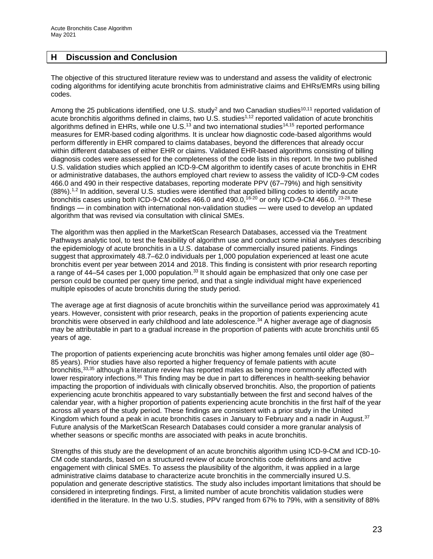#### <span id="page-22-0"></span>**H Discussion and Conclusion**

The objective of this structured literature review was to understand and assess the validity of electronic coding algorithms for identifying acute bronchitis from administrative claims and EHRs/EMRs using billing codes.

Among the 25 publications identified, one U.S. study<sup>2</sup> and two Canadian studies<sup>10,11</sup> reported validation of acute bronchitis algorithms defined in claims, two U.S. studies<sup>1,12</sup> reported validation of acute bronchitis algorithms defined in EHRs, while one U.S.<sup>13</sup> and two international studies<sup>14,15</sup> reported performance measures for EMR-based coding algorithms. It is unclear how diagnostic code-based algorithms would perform differently in EHR compared to claims databases, beyond the differences that already occur within different databases of either EHR or claims. Validated EHR-based algorithms consisting of billing diagnosis codes were assessed for the completeness of the code lists in this report. In the two published U.S. validation studies which applied an ICD-9-CM algorithm to identify cases of acute bronchitis in EHR or administrative databases, the authors employed chart review to assess the validity of ICD-9-CM codes 466.0 and 490 in their respective databases, reporting moderate PPV (67–79%) and high sensitivity (88%).1,2 In addition, several U.S. studies were identified that applied billing codes to identify acute bronchitis cases using both ICD-9-CM codes 466.0 and 490.0,<sup>16-20</sup> or only ICD-9-CM 466.0.  $^{23-28}$  These findings — in combination with international non-validation studies — were used to develop an updated algorithm that was revised via consultation with clinical SMEs.

The algorithm was then applied in the MarketScan Research Databases, accessed via the Treatment Pathways analytic tool, to test the feasibility of algorithm use and conduct some initial analyses describing the epidemiology of acute bronchitis in a U.S. database of commercially insured patients. Findings suggest that approximately 48.7–62.0 individuals per 1,000 population experienced at least one acute bronchitis event per year between 2014 and 2018. This finding is consistent with prior research reporting a range of 44–54 cases per 1,000 population.<sup>33</sup> It should again be emphasized that only one case per person could be counted per query time period, and that a single individual might have experienced multiple episodes of acute bronchitis during the study period.

The average age at first diagnosis of acute bronchitis within the surveillance period was approximately 41 years. However, consistent with prior research, peaks in the proportion of patients experiencing acute bronchitis were observed in early childhood and late adolescence.<sup>34</sup> A higher average age of diagnosis may be attributable in part to a gradual increase in the proportion of patients with acute bronchitis until 65 years of age.

The proportion of patients experiencing acute bronchitis was higher among females until older age (80– 85 years). Prior studies have also reported a higher frequency of female patients with acute bronchitis,<sup>33,35</sup> although a literature review has reported males as being more commonly affected with lower respiratory infections.<sup>36</sup> This finding may be due in part to differences in health-seeking behavior impacting the proportion of individuals with clinically observed bronchitis. Also, the proportion of patients experiencing acute bronchitis appeared to vary substantially between the first and second halves of the calendar year, with a higher proportion of patients experiencing acute bronchitis in the first half of the year across all years of the study period. These findings are consistent with a prior study in the United Kingdom which found a peak in acute bronchitis cases in January to February and a nadir in August.<sup>37</sup> Future analysis of the MarketScan Research Databases could consider a more granular analysis of whether seasons or specific months are associated with peaks in acute bronchitis.

Strengths of this study are the development of an acute bronchitis algorithm using ICD-9-CM and ICD-10- CM code standards, based on a structured review of acute bronchitis code definitions and active engagement with clinical SMEs. To assess the plausibility of the algorithm, it was applied in a large administrative claims database to characterize acute bronchitis in the commercially insured U.S. population and generate descriptive statistics. The study also includes important limitations that should be considered in interpreting findings. First, a limited number of acute bronchitis validation studies were identified in the literature. In the two U.S. studies, PPV ranged from 67% to 79%, with a sensitivity of 88%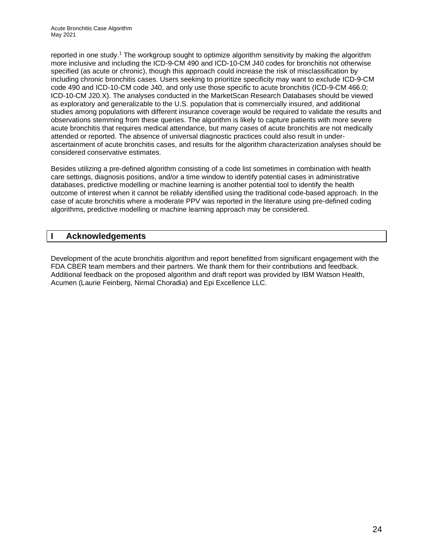reported in one study.<sup>1</sup> The workgroup sought to optimize algorithm sensitivity by making the algorithm more inclusive and including the ICD-9-CM 490 and ICD-10-CM J40 codes for bronchitis not otherwise specified (as acute or chronic), though this approach could increase the risk of misclassification by including chronic bronchitis cases. Users seeking to prioritize specificity may want to exclude ICD-9-CM code 490 and ICD-10-CM code J40, and only use those specific to acute bronchitis (ICD-9-CM 466.0; ICD-10-CM J20.X). The analyses conducted in the MarketScan Research Databases should be viewed as exploratory and generalizable to the U.S. population that is commercially insured, and additional studies among populations with different insurance coverage would be required to validate the results and observations stemming from these queries. The algorithm is likely to capture patients with more severe acute bronchitis that requires medical attendance, but many cases of acute bronchitis are not medically attended or reported. The absence of universal diagnostic practices could also result in underascertainment of acute bronchitis cases, and results for the algorithm characterization analyses should be considered conservative estimates.

Besides utilizing a pre-defined algorithm consisting of a code list sometimes in combination with health care settings, diagnosis positions, and/or a time window to identify potential cases in administrative databases, predictive modelling or machine learning is another potential tool to identify the health outcome of interest when it cannot be reliably identified using the traditional code-based approach. In the case of acute bronchitis where a moderate PPV was reported in the literature using pre-defined coding algorithms, predictive modelling or machine learning approach may be considered.

#### <span id="page-23-0"></span>**I Acknowledgements**

Development of the acute bronchitis algorithm and report benefitted from significant engagement with the FDA CBER team members and their partners. We thank them for their contributions and feedback. Additional feedback on the proposed algorithm and draft report was provided by IBM Watson Health, Acumen (Laurie Feinberg, Nirmal Choradia) and Epi Excellence LLC.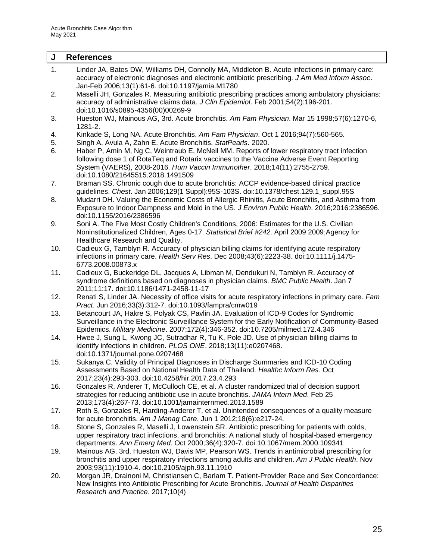<span id="page-24-0"></span>

| J        | <b>References</b>                                                                                                                                                                                                                                                                                       |
|----------|---------------------------------------------------------------------------------------------------------------------------------------------------------------------------------------------------------------------------------------------------------------------------------------------------------|
| 1.       | Linder JA, Bates DW, Williams DH, Connolly MA, Middleton B. Acute infections in primary care:<br>accuracy of electronic diagnoses and electronic antibiotic prescribing. J Am Med Inform Assoc.<br>Jan-Feb 2006;13(1):61-6. doi:10.1197/jamia.M1780                                                     |
| 2.       | Maselli JH, Gonzales R. Measuring antibiotic prescribing practices among ambulatory physicians:<br>accuracy of administrative claims data. J Clin Epidemiol. Feb 2001;54(2):196-201.<br>doi:10.1016/s0895-4356(00)00269-9                                                                               |
| 3.       | Hueston WJ, Mainous AG, 3rd. Acute bronchitis. Am Fam Physician. Mar 15 1998;57(6):1270-6,<br>1281-2.                                                                                                                                                                                                   |
| 4.<br>5. | Kinkade S, Long NA. Acute Bronchitis. Am Fam Physician. Oct 1 2016;94(7):560-565.<br>Singh A, Avula A, Zahn E. Acute Bronchitis. StatPearls. 2020.                                                                                                                                                      |
| 6.       | Haber P, Amin M, Ng C, Weintraub E, McNeil MM. Reports of lower respiratory tract infection<br>following dose 1 of RotaTeq and Rotarix vaccines to the Vaccine Adverse Event Reporting<br>System (VAERS), 2008-2016. Hum Vaccin Immunother. 2018;14(11):2755-2759.<br>doi:10.1080/21645515.2018.1491509 |
| 7.       | Braman SS. Chronic cough due to acute bronchitis: ACCP evidence-based clinical practice<br>guidelines. Chest. Jan 2006;129(1 Suppl):95S-103S. doi:10.1378/chest.129.1_suppl.95S                                                                                                                         |
| 8.       | Mudarri DH. Valuing the Economic Costs of Allergic Rhinitis, Acute Bronchitis, and Asthma from<br>Exposure to Indoor Dampness and Mold in the US. J Environ Public Health. 2016;2016:2386596.<br>doi:10.1155/2016/2386596                                                                               |
| 9.       | Soni A. The Five Most Costly Children's Conditions, 2006: Estimates for the U.S. Civilian<br>Noninstitutionalized Children, Ages 0-17. Statistical Brief #242. April 2009 2009;Agency for<br>Healthcare Research and Quality.                                                                           |
| 10.      | Cadieux G, Tamblyn R. Accuracy of physician billing claims for identifying acute respiratory<br>infections in primary care. Health Serv Res. Dec 2008;43(6):2223-38. doi:10.1111/j.1475-<br>6773.2008.00873.x                                                                                           |
| 11.      | Cadieux G, Buckeridge DL, Jacques A, Libman M, Dendukuri N, Tamblyn R. Accuracy of<br>syndrome definitions based on diagnoses in physician claims. BMC Public Health. Jan 7<br>2011;11:17. doi:10.1186/1471-2458-11-17                                                                                  |
| 12.      | Renati S, Linder JA. Necessity of office visits for acute respiratory infections in primary care. Fam<br>Pract. Jun 2016;33(3):312-7. doi:10.1093/fampra/cmw019                                                                                                                                         |
| 13.      | Betancourt JA, Hakre S, Polyak CS, Pavlin JA. Evaluation of ICD-9 Codes for Syndromic<br>Surveillance in the Electronic Surveillance System for the Early Notification of Community-Based<br>Epidemics. Military Medicine. 2007;172(4):346-352. doi:10.7205/milmed.172.4.346                            |
| 14.      | Hwee J, Sung L, Kwong JC, Sutradhar R, Tu K, Pole JD. Use of physician billing claims to<br>identify infections in children. PLOS ONE. 2018;13(11):e0207468.<br>doi:10.1371/journal.pone.0207468                                                                                                        |
| 15.      | Sukanya C. Validity of Principal Diagnoses in Discharge Summaries and ICD-10 Coding<br>Assessments Based on National Health Data of Thailand. Healthc Inform Res. Oct<br>2017;23(4):293-303. doi:10.4258/hir.2017.23.4.293                                                                              |
| 16.      | Gonzales R, Anderer T, McCulloch CE, et al. A cluster randomized trial of decision support<br>strategies for reducing antibiotic use in acute bronchitis. JAMA Intern Med. Feb 25<br>2013;173(4):267-73. doi:10.1001/jamainternmed.2013.1589                                                            |
| 17.      | Roth S, Gonzales R, Harding-Anderer T, et al. Unintended consequences of a quality measure<br>for acute bronchitis. Am J Manag Care. Jun 1 2012;18(6):e217-24.                                                                                                                                          |
| 18.      | Stone S, Gonzales R, Maselli J, Lowenstein SR. Antibiotic prescribing for patients with colds,<br>upper respiratory tract infections, and bronchitis: A national study of hospital-based emergency<br>departments. Ann Emerg Med. Oct 2000;36(4):320-7. doi:10.1067/mem.2000.109341                     |
| 19.      | Mainous AG, 3rd, Hueston WJ, Davis MP, Pearson WS. Trends in antimicrobial prescribing for<br>bronchitis and upper respiratory infections among adults and children. Am J Public Health. Nov<br>2003;93(11):1910-4. doi:10.2105/ajph.93.11.1910                                                         |
| 20.      | Morgan JR, Drainoni M, Christiansen C, Barlam T. Patient-Provider Race and Sex Concordance:<br>New Insights into Antibiotic Prescribing for Acute Bronchitis. Journal of Health Disparities<br>Research and Practice. 2017;10(4)                                                                        |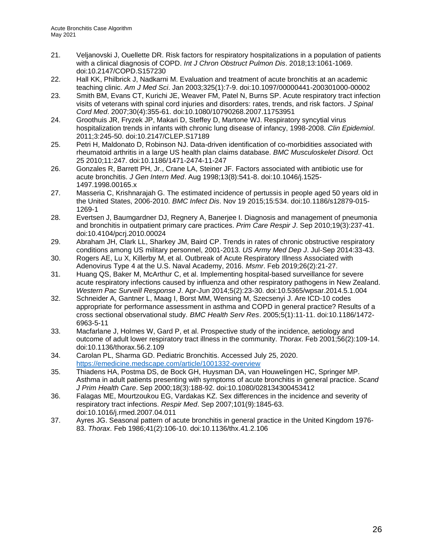- 21. Veljanovski J, Ouellette DR. Risk factors for respiratory hospitalizations in a population of patients with a clinical diagnosis of COPD. *Int J Chron Obstruct Pulmon Dis*. 2018;13:1061-1069. doi:10.2147/COPD.S157230
- 22. Hall KK, Philbrick J, Nadkarni M. Evaluation and treatment of acute bronchitis at an academic teaching clinic. *Am J Med Sci*. Jan 2003;325(1):7-9. doi:10.1097/00000441-200301000-00002
- 23. Smith BM, Evans CT, Kurichi JE, Weaver FM, Patel N, Burns SP. Acute respiratory tract infection visits of veterans with spinal cord injuries and disorders: rates, trends, and risk factors. *J Spinal Cord Med*. 2007;30(4):355-61. doi:10.1080/10790268.2007.11753951
- 24. Groothuis JR, Fryzek JP, Makari D, Steffey D, Martone WJ. Respiratory syncytial virus hospitalization trends in infants with chronic lung disease of infancy, 1998-2008. *Clin Epidemiol*. 2011;3:245-50. doi:10.2147/CLEP.S17189
- 25. Petri H, Maldonato D, Robinson NJ. Data-driven identification of co-morbidities associated with rheumatoid arthritis in a large US health plan claims database. *BMC Musculoskelet Disord*. Oct 25 2010;11:247. doi:10.1186/1471-2474-11-247
- 26. Gonzales R, Barrett PH, Jr., Crane LA, Steiner JF. Factors associated with antibiotic use for acute bronchitis. *J Gen Intern Med*. Aug 1998;13(8):541-8. doi:10.1046/j.1525- 1497.1998.00165.x
- 27. Masseria C, Krishnarajah G. The estimated incidence of pertussis in people aged 50 years old in the United States, 2006-2010. *BMC Infect Dis*. Nov 19 2015;15:534. doi:10.1186/s12879-015- 1269-1
- 28. Evertsen J, Baumgardner DJ, Regnery A, Banerjee I. Diagnosis and management of pneumonia and bronchitis in outpatient primary care practices. *Prim Care Respir J*. Sep 2010;19(3):237-41. doi:10.4104/pcrj.2010.00024
- 29. Abraham JH, Clark LL, Sharkey JM, Baird CP. Trends in rates of chronic obstructive respiratory conditions among US military personnel, 2001-2013. *US Army Med Dep J*. Jul-Sep 2014:33-43.
- 30. Rogers AE, Lu X, Killerby M, et al. Outbreak of Acute Respiratory Illness Associated with Adenovirus Type 4 at the U.S. Naval Academy, 2016. *Msmr*. Feb 2019;26(2):21-27.
- 31. Huang QS, Baker M, McArthur C, et al. Implementing hospital-based surveillance for severe acute respiratory infections caused by influenza and other respiratory pathogens in New Zealand. *Western Pac Surveill Response J*. Apr-Jun 2014;5(2):23-30. doi:10.5365/wpsar.2014.5.1.004
- 32. Schneider A, Gantner L, Maag I, Borst MM, Wensing M, Szecsenyi J. Are ICD-10 codes appropriate for performance assessment in asthma and COPD in general practice? Results of a cross sectional observational study. *BMC Health Serv Res*. 2005;5(1):11-11. doi:10.1186/1472- 6963-5-11
- 33. Macfarlane J, Holmes W, Gard P, et al. Prospective study of the incidence, aetiology and outcome of adult lower respiratory tract illness in the community. *Thorax*. Feb 2001;56(2):109-14. doi:10.1136/thorax.56.2.109
- 34. Carolan PL, Sharma GD. Pediatric Bronchitis. Accessed July 25, 2020. <https://emedicine.medscape.com/article/1001332-overview>
- 35. Thiadens HA, Postma DS, de Bock GH, Huysman DA, van Houwelingen HC, Springer MP. Asthma in adult patients presenting with symptoms of acute bronchitis in general practice. *Scand J Prim Health Care*. Sep 2000;18(3):188-92. doi:10.1080/028134300453412
- 36. Falagas ME, Mourtzoukou EG, Vardakas KZ. Sex differences in the incidence and severity of respiratory tract infections. *Respir Med*. Sep 2007;101(9):1845-63. doi:10.1016/j.rmed.2007.04.011
- 37. Ayres JG. Seasonal pattern of acute bronchitis in general practice in the United Kingdom 1976- 83. *Thorax*. Feb 1986;41(2):106-10. doi:10.1136/thx.41.2.106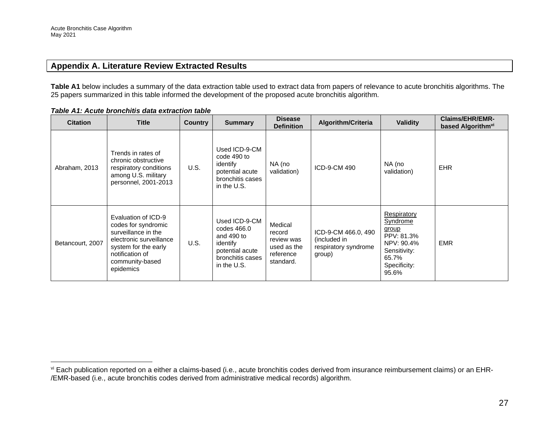# **Appendix A. Literature Review Extracted Results**

**Table A1** below includes a summary of the data extraction table used to extract data from papers of relevance to acute bronchitis algorithms. The 25 papers summarized in this table informed the development of the proposed acute bronchitis algorithm.

<span id="page-26-0"></span>

| <b>Citation</b>  | <b>Title</b>                                                                                                                                                            | <b>Country</b> | <b>Summary</b>                                                                                               | <b>Disease</b><br><b>Definition</b>                                      | Algorithm/Criteria                                                    | <b>Validity</b>                                                                                                | <b>Claims/EHR/EMR-</b><br>based Algorithm <sup>vi</sup> |
|------------------|-------------------------------------------------------------------------------------------------------------------------------------------------------------------------|----------------|--------------------------------------------------------------------------------------------------------------|--------------------------------------------------------------------------|-----------------------------------------------------------------------|----------------------------------------------------------------------------------------------------------------|---------------------------------------------------------|
| Abraham, 2013    | Trends in rates of<br>chronic obstructive<br>respiratory conditions<br>among U.S. military<br>personnel, 2001-2013                                                      | U.S.           | Used ICD-9-CM<br>code 490 to<br>identify<br>potential acute<br>bronchitis cases<br>in the U.S.               | NA (no<br>validation)                                                    | ICD-9-CM 490                                                          | NA (no<br>validation)                                                                                          | <b>EHR</b>                                              |
| Betancourt, 2007 | Evaluation of ICD-9<br>codes for syndromic<br>surveillance in the<br>electronic surveillance<br>system for the early<br>notification of<br>community-based<br>epidemics | U.S.           | Used ICD-9-CM<br>codes 466.0<br>and 490 to<br>identify<br>potential acute<br>bronchitis cases<br>in the U.S. | Medical<br>record<br>review was<br>used as the<br>reference<br>standard. | ICD-9-CM 466.0, 490<br>(included in<br>respiratory syndrome<br>group) | Respiratory<br>Syndrome<br>group<br>PPV: 81.3%<br>NPV: 90.4%<br>Sensitivity:<br>65.7%<br>Specificity:<br>95.6% | <b>EMR</b>                                              |

*Table A1: Acute bronchitis data extraction table*

vi Each publication reported on a either a claims-based (i.e., acute bronchitis codes derived from insurance reimbursement claims) or an EHR-/EMR-based (i.e., acute bronchitis codes derived from administrative medical records) algorithm.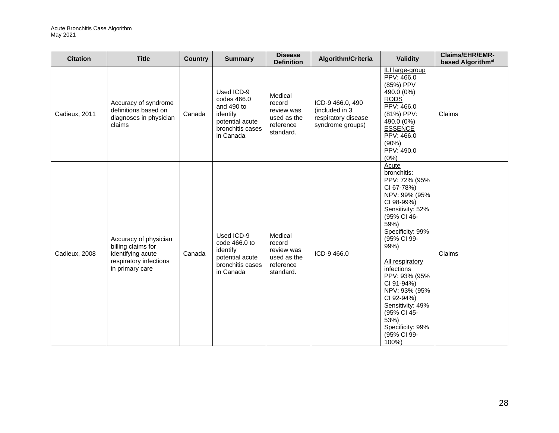| <b>Citation</b> | <b>Title</b>                                                                                                  | <b>Country</b> | <b>Summary</b>                                                                                          | <b>Disease</b><br><b>Definition</b>                                      | Algorithm/Criteria                                                            | Validity                                                                                                                                                                                                                                                                                                                                                       | <b>Claims/EHR/EMR-</b><br>based Algorithm <sup>vi</sup> |
|-----------------|---------------------------------------------------------------------------------------------------------------|----------------|---------------------------------------------------------------------------------------------------------|--------------------------------------------------------------------------|-------------------------------------------------------------------------------|----------------------------------------------------------------------------------------------------------------------------------------------------------------------------------------------------------------------------------------------------------------------------------------------------------------------------------------------------------------|---------------------------------------------------------|
| Cadieux, 2011   | Accuracy of syndrome<br>definitions based on<br>diagnoses in physician<br>claims                              | Canada         | Used ICD-9<br>codes 466.0<br>and 490 to<br>identify<br>potential acute<br>bronchitis cases<br>in Canada | Medical<br>record<br>review was<br>used as the<br>reference<br>standard. | ICD-9 466.0, 490<br>(included in 3<br>respiratory disease<br>syndrome groups) | ILI large-group<br>PPV: 466.0<br>(85%) PPV<br>490.0 (0%)<br><b>RODS</b><br>PPV: 466.0<br>(81%) PPV:<br>490.0 (0%)<br><b>ESSENCE</b><br>PPV: 466.0<br>(90%)<br>PPV: 490.0<br>(0%)                                                                                                                                                                               | Claims                                                  |
| Cadieux, 2008   | Accuracy of physician<br>billing claims for<br>identifying acute<br>respiratory infections<br>in primary care | Canada         | Used ICD-9<br>code 466.0 to<br>identify<br>potential acute<br>bronchitis cases<br>in Canada             | Medical<br>record<br>review was<br>used as the<br>reference<br>standard. | ICD-9 466.0                                                                   | Acute<br>bronchitis:<br>PPV: 72% (95%<br>CI 67-78%)<br>NPV: 99% (95%<br>CI 98-99%)<br>Sensitivity: 52%<br>(95% CI 46-<br>59%)<br>Specificity: 99%<br>(95% CI 99-<br>99%)<br>All respiratory<br>infections<br>PPV: 93% (95%<br>CI 91-94%)<br>NPV: 93% (95%<br>CI 92-94%)<br>Sensitivity: 49%<br>(95% CI 45-<br>53%)<br>Specificity: 99%<br>(95% CI 99-<br>100%) | Claims                                                  |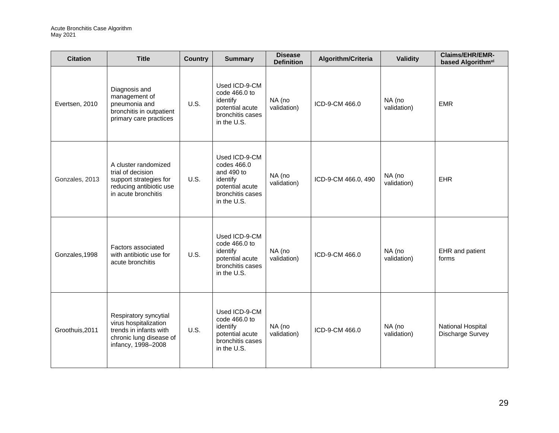| <b>Citation</b> | <b>Title</b>                                                                                                              | <b>Country</b> | <b>Summary</b>                                                                                               | <b>Disease</b><br><b>Definition</b> | Algorithm/Criteria  | <b>Validity</b>       | Claims/EHR/EMR-<br>based Algorithm <sup>vi</sup> |
|-----------------|---------------------------------------------------------------------------------------------------------------------------|----------------|--------------------------------------------------------------------------------------------------------------|-------------------------------------|---------------------|-----------------------|--------------------------------------------------|
| Evertsen, 2010  | Diagnosis and<br>management of<br>pneumonia and<br>bronchitis in outpatient<br>primary care practices                     | U.S.           | Used ICD-9-CM<br>code 466.0 to<br>identify<br>potential acute<br>bronchitis cases<br>in the U.S.             | NA (no<br>validation)               | ICD-9-CM 466.0      | NA (no<br>validation) | <b>EMR</b>                                       |
| Gonzales, 2013  | A cluster randomized<br>trial of decision<br>support strategies for<br>reducing antibiotic use<br>in acute bronchitis     | U.S.           | Used ICD-9-CM<br>codes 466.0<br>and 490 to<br>identify<br>potential acute<br>bronchitis cases<br>in the U.S. | NA (no<br>validation)               | ICD-9-CM 466.0, 490 | NA (no<br>validation) | <b>EHR</b>                                       |
| Gonzales, 1998  | Factors associated<br>with antibiotic use for<br>acute bronchitis                                                         | <b>U.S.</b>    | Used ICD-9-CM<br>code 466.0 to<br>identify<br>potential acute<br>bronchitis cases<br>in the U.S.             | NA (no<br>validation)               | ICD-9-CM 466.0      | NA (no<br>validation) | EHR and patient<br>forms                         |
| Groothuis, 2011 | Respiratory syncytial<br>virus hospitalization<br>trends in infants with<br>chronic lung disease of<br>infancy, 1998-2008 | U.S.           | Used ICD-9-CM<br>code 466.0 to<br>identify<br>potential acute<br>bronchitis cases<br>in the U.S.             | NA (no<br>validation)               | ICD-9-CM 466.0      | NA (no<br>validation) | National Hospital<br>Discharge Survey            |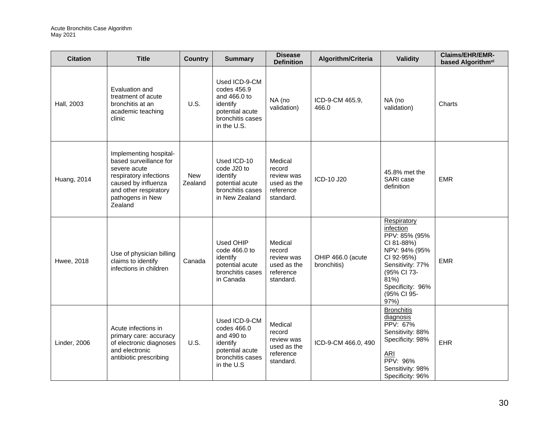| <b>Citation</b>     | <b>Title</b>                                                                                                                                                              | <b>Country</b>        | <b>Summary</b>                                                                                                 | <b>Disease</b><br><b>Definition</b>                                      | Algorithm/Criteria               | <b>Validity</b>                                                                                                                                                              | Claims/EHR/EMR-<br>based Algorithm <sup>vi</sup> |
|---------------------|---------------------------------------------------------------------------------------------------------------------------------------------------------------------------|-----------------------|----------------------------------------------------------------------------------------------------------------|--------------------------------------------------------------------------|----------------------------------|------------------------------------------------------------------------------------------------------------------------------------------------------------------------------|--------------------------------------------------|
| Hall, 2003          | Evaluation and<br>treatment of acute<br>bronchitis at an<br>academic teaching<br>clinic                                                                                   | U.S.                  | Used ICD-9-CM<br>codes 456.9<br>and 466.0 to<br>identify<br>potential acute<br>bronchitis cases<br>in the U.S. | NA (no<br>validation)                                                    | ICD-9-CM 465.9,<br>466.0         | NA (no<br>validation)                                                                                                                                                        | Charts                                           |
| <b>Huang, 2014</b>  | Implementing hospital-<br>based surveillance for<br>severe acute<br>respiratory infections<br>caused by influenza<br>and other respiratory<br>pathogens in New<br>Zealand | <b>New</b><br>Zealand | Used ICD-10<br>code J20 to<br>identify<br>potential acute<br>bronchitis cases<br>in New Zealand                | Medical<br>record<br>review was<br>used as the<br>reference<br>standard. | ICD-10 J20                       | 45.8% met the<br>SARI case<br>definition                                                                                                                                     | <b>EMR</b>                                       |
| Hwee, 2018          | Use of physician billing<br>claims to identify<br>infections in children                                                                                                  | Canada                | Used OHIP<br>code 466.0 to<br>identify<br>potential acute<br>bronchitis cases<br>in Canada                     | Medical<br>record<br>review was<br>used as the<br>reference<br>standard. | OHIP 466.0 (acute<br>bronchitis) | Respiratory<br>infection<br>PPV: 85% (95%<br>CI 81-88%)<br>NPV: 94% (95%<br>CI 92-95%)<br>Sensitivity: 77%<br>(95% CI 73-<br>81%)<br>Specificity: 96%<br>(95% CI 95-<br>97%) | <b>EMR</b>                                       |
| <b>Linder, 2006</b> | Acute infections in<br>primary care: accuracy<br>of electronic diagnoses<br>and electronic<br>antibiotic prescribing                                                      | U.S.                  | Used ICD-9-CM<br>codes 466.0<br>and 490 to<br>identify<br>potential acute<br>bronchitis cases<br>in the U.S    | Medical<br>record<br>review was<br>used as the<br>reference<br>standard. | ICD-9-CM 466.0, 490              | <b>Bronchitis</b><br>diagnosis<br>PPV: 67%<br>Sensitivity: 88%<br>Specificity: 98%<br>ARI<br><b>PPV: 96%</b><br>Sensitivity: 98%<br>Specificity: 96%                         | EHR                                              |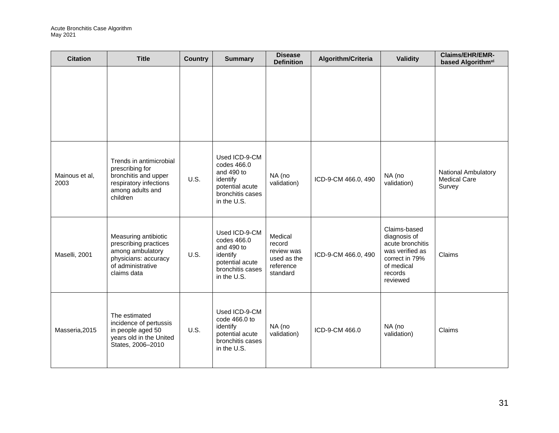| <b>Citation</b>        | <b>Title</b>                                                                                                                  | <b>Country</b> | <b>Summary</b>                                                                                               | <b>Disease</b><br><b>Definition</b>                                     | Algorithm/Criteria  | <b>Validity</b>                                                                                                            | Claims/EHR/EMR-<br>based Algorithm <sup>vi</sup>     |
|------------------------|-------------------------------------------------------------------------------------------------------------------------------|----------------|--------------------------------------------------------------------------------------------------------------|-------------------------------------------------------------------------|---------------------|----------------------------------------------------------------------------------------------------------------------------|------------------------------------------------------|
|                        |                                                                                                                               |                |                                                                                                              |                                                                         |                     |                                                                                                                            |                                                      |
| Mainous et al,<br>2003 | Trends in antimicrobial<br>prescribing for<br>bronchitis and upper<br>respiratory infections<br>among adults and<br>children  | U.S.           | Used ICD-9-CM<br>codes 466.0<br>and 490 to<br>identify<br>potential acute<br>bronchitis cases<br>in the U.S. | NA (no<br>validation)                                                   | ICD-9-CM 466.0, 490 | NA (no<br>validation)                                                                                                      | National Ambulatory<br><b>Medical Care</b><br>Survey |
| Maselli, 2001          | Measuring antibiotic<br>prescribing practices<br>among ambulatory<br>physicians: accuracy<br>of administrative<br>claims data | <b>U.S.</b>    | Used ICD-9-CM<br>codes 466.0<br>and 490 to<br>identify<br>potential acute<br>bronchitis cases<br>in the U.S. | Medical<br>record<br>review was<br>used as the<br>reference<br>standard | ICD-9-CM 466.0, 490 | Claims-based<br>diagnosis of<br>acute bronchitis<br>was verified as<br>correct in 79%<br>of medical<br>records<br>reviewed | Claims                                               |
| Masseria, 2015         | The estimated<br>incidence of pertussis<br>in people aged 50<br>years old in the United<br>States, 2006-2010                  | <b>U.S.</b>    | Used ICD-9-CM<br>code 466.0 to<br>identify<br>potential acute<br>bronchitis cases<br>in the U.S.             | NA (no<br>validation)                                                   | ICD-9-CM 466.0      | NA (no<br>validation)                                                                                                      | Claims                                               |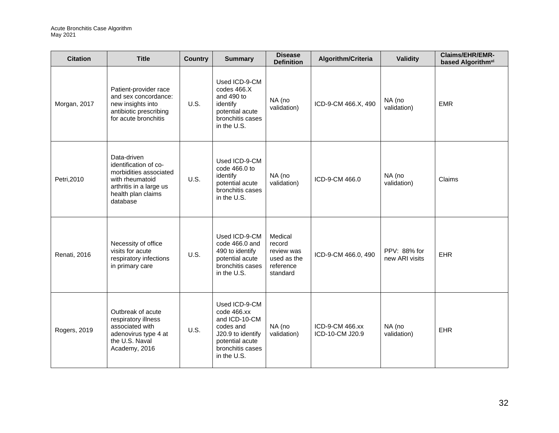| <b>Citation</b> | <b>Title</b>                                                                                                                                   | <b>Country</b> | <b>Summary</b>                                                                                                                        | <b>Disease</b><br><b>Definition</b>                                     | Algorithm/Criteria                 | <b>Validity</b>                | Claims/EHR/EMR-<br>based Algorithm <sup>vi</sup> |
|-----------------|------------------------------------------------------------------------------------------------------------------------------------------------|----------------|---------------------------------------------------------------------------------------------------------------------------------------|-------------------------------------------------------------------------|------------------------------------|--------------------------------|--------------------------------------------------|
| Morgan, 2017    | Patient-provider race<br>and sex concordance:<br>new insights into<br>antibiotic prescribing<br>for acute bronchitis                           | U.S.           | Used ICD-9-CM<br>codes 466.X<br>and 490 to<br>identify<br>potential acute<br>bronchitis cases<br>in the U.S.                          | NA (no<br>validation)                                                   | ICD-9-CM 466.X, 490                | NA (no<br>validation)          | <b>EMR</b>                                       |
| Petri, 2010     | Data-driven<br>identification of co-<br>morbidities associated<br>with rheumatoid<br>arthritis in a large us<br>health plan claims<br>database | U.S.           | Used ICD-9-CM<br>code 466.0 to<br>identify<br>potential acute<br>bronchitis cases<br>in the U.S.                                      | NA (no<br>validation)                                                   | ICD-9-CM 466.0                     | NA (no<br>validation)          | Claims                                           |
| Renati, 2016    | Necessity of office<br>visits for acute<br>respiratory infections<br>in primary care                                                           | <b>U.S.</b>    | Used ICD-9-CM<br>code 466.0 and<br>490 to identify<br>potential acute<br>bronchitis cases<br>in the U.S.                              | Medical<br>record<br>review was<br>used as the<br>reference<br>standard | ICD-9-CM 466.0, 490                | PPV: 88% for<br>new ARI visits | <b>EHR</b>                                       |
| Rogers, 2019    | Outbreak of acute<br>respiratory illness<br>associated with<br>adenovirus type 4 at<br>the U.S. Naval<br>Academy, 2016                         | U.S.           | Used ICD-9-CM<br>code 466.xx<br>and ICD-10-CM<br>codes and<br>J20.9 to identify<br>potential acute<br>bronchitis cases<br>in the U.S. | NA (no<br>validation)                                                   | ICD-9-CM 466.xx<br>ICD-10-CM J20.9 | NA (no<br>validation)          | <b>EHR</b>                                       |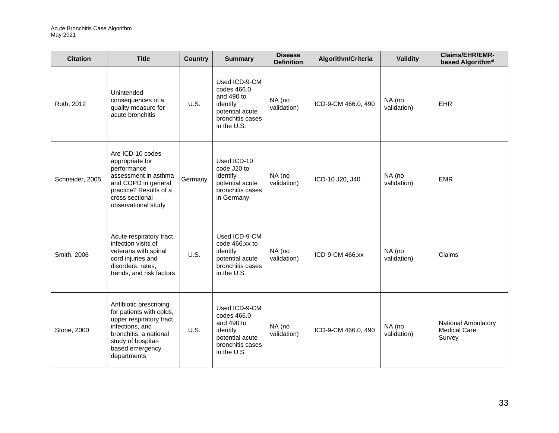| <b>Citation</b> | <b>Title</b>                                                                                                                                                                       | <b>Country</b> | <b>Summary</b>                                                                                               | <b>Disease</b><br><b>Definition</b> | Algorithm/Criteria  | <b>Validity</b>       | <b>Claims/EHR/EMR-</b><br>based Algorithm <sup>vi</sup>     |
|-----------------|------------------------------------------------------------------------------------------------------------------------------------------------------------------------------------|----------------|--------------------------------------------------------------------------------------------------------------|-------------------------------------|---------------------|-----------------------|-------------------------------------------------------------|
| Roth, 2012      | Unintended<br>consequences of a<br>quality measure for<br>acute bronchitis                                                                                                         | U.S.           | Used ICD-9-CM<br>codes 466.0<br>and 490 to<br>identify<br>potential acute<br>bronchitis cases<br>in the U.S. | NA (no<br>validation)               | ICD-9-CM 466.0, 490 | NA (no<br>validation) | <b>EHR</b>                                                  |
| Schneider, 2005 | Are ICD-10 codes<br>appropriate for<br>performance<br>assessment in asthma<br>and COPD in general<br>practice? Results of a<br>cross sectional<br>observational study              | Germany        | Used ICD-10<br>code J20 to<br>identify<br>potential acute<br>bronchitis cases<br>in Germany                  | NA (no<br>validation)               | ICD-10 J20, J40     | NA (no<br>validation) | <b>EMR</b>                                                  |
| Smith, 2006     | Acute respiratory tract<br>infection visits of<br>veterans with spinal<br>cord injuries and<br>disorders: rates,<br>trends, and risk factors                                       | U.S.           | Used ICD-9-CM<br>code 466.xx to<br>identify<br>potential acute<br>bronchitis cases<br>in the U.S.            | NA (no<br>validation)               | ICD-9-CM 466.xx     | NA (no<br>validation) | Claims                                                      |
| Stone, 2000     | Antibiotic prescribing<br>for patients with colds,<br>upper respiratory tract<br>infections, and<br>bronchitis: a national<br>study of hospital-<br>based emergency<br>departments | U.S.           | Used ICD-9-CM<br>codes 466.0<br>and 490 to<br>identify<br>potential acute<br>bronchitis cases<br>in the U.S. | NA (no<br>validation)               | ICD-9-CM 466.0, 490 | NA (no<br>validation) | <b>National Ambulatory</b><br><b>Medical Care</b><br>Survey |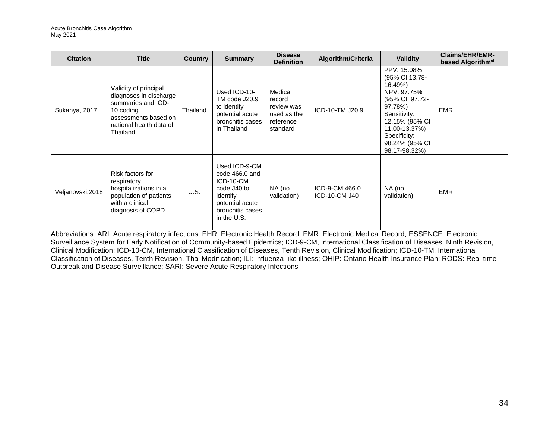| <b>Citation</b>   | <b>Title</b>                                                                                                                                      | <b>Country</b> | <b>Summary</b>                                                                                                                | <b>Disease</b><br><b>Definition</b>                                     | Algorithm/Criteria              | <b>Validity</b>                                                                                                                                                                             | <b>Claims/EHR/EMR-</b><br>based Algorithm <sup>vi</sup> |
|-------------------|---------------------------------------------------------------------------------------------------------------------------------------------------|----------------|-------------------------------------------------------------------------------------------------------------------------------|-------------------------------------------------------------------------|---------------------------------|---------------------------------------------------------------------------------------------------------------------------------------------------------------------------------------------|---------------------------------------------------------|
| Sukanya, 2017     | Validity of principal<br>diagnoses in discharge<br>summaries and ICD-<br>10 coding<br>assessments based on<br>national health data of<br>Thailand | Thailand       | Used ICD-10-<br>TM code J20.9<br>to identify<br>potential acute<br>bronchitis cases<br>in Thailand                            | Medical<br>record<br>review was<br>used as the<br>reference<br>standard | ICD-10-TM J20.9                 | PPV: 15.08%<br>(95% CI 13.78-<br>16.49%)<br>NPV: 97.75%<br>(95% CI: 97.72-<br>97.78%)<br>Sensitivity:<br>12.15% (95% CI<br>11.00-13.37%)<br>Specificity:<br>98.24% (95% CI<br>98.17-98.32%) | <b>EMR</b>                                              |
| Veljanovski, 2018 | Risk factors for<br>respiratory<br>hospitalizations in a<br>population of patients<br>with a clinical<br>diagnosis of COPD                        | <b>U.S.</b>    | Used ICD-9-CM<br>code 466.0 and<br>ICD-10-CM<br>code J40 to<br>identify<br>potential acute<br>bronchitis cases<br>in the U.S. | NA (no<br>validation)                                                   | ICD-9-CM 466.0<br>ICD-10-CM J40 | NA (no<br>validation)                                                                                                                                                                       | <b>EMR</b>                                              |

Abbreviations: ARI: Acute respiratory infections; EHR: Electronic Health Record; EMR: Electronic Medical Record; ESSENCE: Electronic Surveillance System for Early Notification of Community-based Epidemics; ICD-9-CM, International Classification of Diseases, Ninth Revision, Clinical Modification; ICD-10-CM, International Classification of Diseases, Tenth Revision, Clinical Modification; ICD-10-TM: International Classification of Diseases, Tenth Revision, Thai Modification; ILI: Influenza-like illness; OHIP: Ontario Health Insurance Plan; RODS: Real-time Outbreak and Disease Surveillance; SARI: Severe Acute Respiratory Infections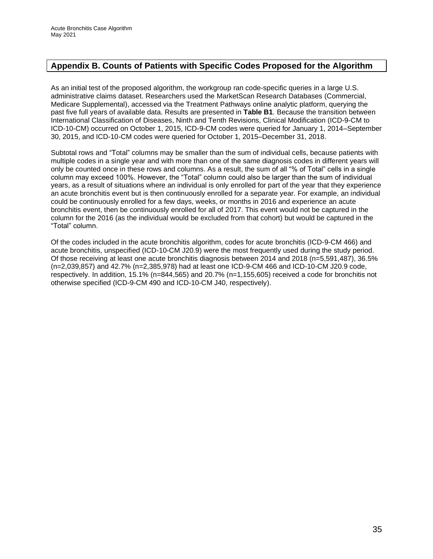#### <span id="page-34-0"></span>**Appendix B. Counts of Patients with Specific Codes Proposed for the Algorithm**

As an initial test of the proposed algorithm, the workgroup ran code-specific queries in a large U.S. administrative claims dataset. Researchers used the MarketScan Research Databases (Commercial, Medicare Supplemental), accessed via the Treatment Pathways online analytic platform, querying the past five full years of available data. Results are presented in **Table B1**. Because the transition between International Classification of Diseases, Ninth and Tenth Revisions, Clinical Modification (ICD-9-CM to ICD-10-CM) occurred on October 1, 2015, ICD-9-CM codes were queried for January 1, 2014–September 30, 2015, and ICD-10-CM codes were queried for October 1, 2015–December 31, 2018.

Subtotal rows and "Total" columns may be smaller than the sum of individual cells, because patients with multiple codes in a single year and with more than one of the same diagnosis codes in different years will only be counted once in these rows and columns. As a result, the sum of all "% of Total" cells in a single column may exceed 100%. However, the "Total" column could also be larger than the sum of individual years, as a result of situations where an individual is only enrolled for part of the year that they experience an acute bronchitis event but is then continuously enrolled for a separate year. For example, an individual could be continuously enrolled for a few days, weeks, or months in 2016 and experience an acute bronchitis event, then be continuously enrolled for all of 2017. This event would not be captured in the column for the 2016 (as the individual would be excluded from that cohort) but would be captured in the "Total" column.

Of the codes included in the acute bronchitis algorithm, codes for acute bronchitis (ICD-9-CM 466) and acute bronchitis, unspecified (ICD-10-CM J20.9) were the most frequently used during the study period. Of those receiving at least one acute bronchitis diagnosis between 2014 and 2018 (n=5,591,487), 36.5% (n=2,039,857) and 42.7% (n=2,385,978) had at least one ICD-9-CM 466 and ICD-10-CM J20.9 code, respectively. In addition, 15.1% (n=844,565) and 20.7% (n=1,155,605) received a code for bronchitis not otherwise specified (ICD-9-CM 490 and ICD-10-CM J40, respectively).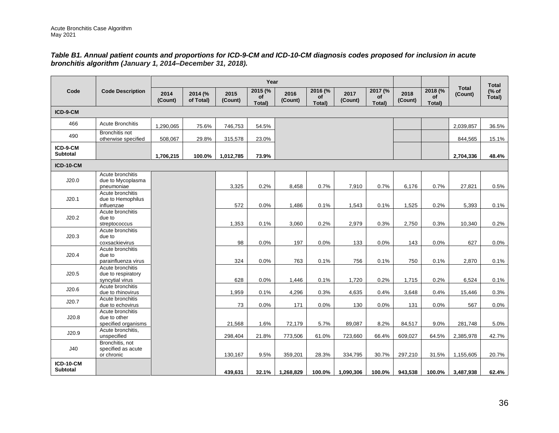#### *Table B1. Annual patient counts and proportions for ICD-9-CM and ICD-10-CM diagnosis codes proposed for inclusion in acute bronchitis algorithm (January 1, 2014–December 31, 2018).*

|                              |                                                           |                 |                      |                 | Year                    |                 |                         |                 |                         |                 |                         |                         | <b>Total</b>    |
|------------------------------|-----------------------------------------------------------|-----------------|----------------------|-----------------|-------------------------|-----------------|-------------------------|-----------------|-------------------------|-----------------|-------------------------|-------------------------|-----------------|
| Code                         | <b>Code Description</b>                                   | 2014<br>(Count) | 2014 (%<br>of Total) | 2015<br>(Count) | 2015 (%<br>of<br>Total) | 2016<br>(Count) | 2016 (%<br>of<br>Total) | 2017<br>(Count) | 2017 (%<br>of<br>Total) | 2018<br>(Count) | 2018 (%<br>of<br>Total) | <b>Total</b><br>(Count) | (% of<br>Total) |
| ICD-9-CM                     |                                                           |                 |                      |                 |                         |                 |                         |                 |                         |                 |                         |                         |                 |
| 466                          | <b>Acute Bronchitis</b>                                   | 1,290,065       | 75.6%                | 746,753         | 54.5%                   |                 |                         |                 |                         |                 |                         | 2,039,857               | 36.5%           |
| 490                          | Bronchitis not<br>otherwise specified                     | 508,067         | 29.8%                | 315,578         | 23.0%                   |                 |                         |                 |                         |                 |                         | 844,565                 | 15.1%           |
| ICD-9-CM<br><b>Subtotal</b>  |                                                           | 1,706,215       | 100.0%               | 1,012,785       | 73.9%                   |                 |                         |                 |                         |                 |                         | 2,704,336               | 48.4%           |
| <b>ICD-10-CM</b>             |                                                           |                 |                      |                 |                         |                 |                         |                 |                         |                 |                         |                         |                 |
| J20.0                        | Acute bronchitis<br>due to Mycoplasma<br>pneumoniae       |                 |                      | 3,325           | 0.2%                    | 8,458           | 0.7%                    | 7,910           | 0.7%                    | 6,176           | 0.7%                    | 27,821                  | 0.5%            |
| J20.1                        | Acute bronchitis<br>due to Hemophilus<br>influenzae       |                 |                      | 572             | 0.0%                    | 1,486           | 0.1%                    | 1,543           | 0.1%                    | 1,525           | 0.2%                    | 5,393                   | 0.1%            |
| J20.2                        | Acute bronchitis<br>due to<br>streptococcus               |                 |                      | 1,353           | 0.1%                    | 3,060           | 0.2%                    | 2,979           | 0.3%                    | 2,750           | 0.3%                    | 10,340                  | 0.2%            |
| J20.3                        | Acute bronchitis<br>due to<br>coxsackievirus              |                 |                      | 98              | 0.0%                    | 197             | 0.0%                    | 133             | 0.0%                    | 143             | 0.0%                    | 627                     | $0.0\%$         |
| J20.4                        | Acute bronchitis<br>due to<br>parainfluenza virus         |                 |                      | 324             | 0.0%                    | 763             | 0.1%                    | 756             | 0.1%                    | 750             | 0.1%                    | 2,870                   | 0.1%            |
| J20.5                        | Acute bronchitis<br>due to respiratory<br>syncytial virus |                 |                      | 628             | 0.0%                    | 1,446           | 0.1%                    | 1,720           | 0.2%                    | 1,715           | 0.2%                    | 6,524                   | 0.1%            |
| J20.6                        | Acute bronchitis<br>due to rhinovirus                     |                 |                      | 1,959           | 0.1%                    | 4,296           | 0.3%                    | 4,635           | 0.4%                    | 3,648           | 0.4%                    | 15,446                  | 0.3%            |
| J20.7                        | Acute bronchitis<br>due to echovirus                      |                 |                      | 73              | 0.0%                    | 171             | 0.0%                    | 130             | 0.0%                    | 131             | 0.0%                    | 567                     | $0.0\%$         |
| J20.8                        | Acute bronchitis<br>due to other<br>specified organisms   |                 |                      | 21,568          | 1.6%                    | 72,179          | 5.7%                    | 89,087          | 8.2%                    | 84,517          | 9.0%                    | 281,748                 | 5.0%            |
| J20.9                        | Acute bronchitis,<br>unspecified                          |                 |                      | 298,404         | 21.8%                   | 773,506         | 61.0%                   | 723,660         | 66.4%                   | 609,027         | 64.5%                   | 2,385,978               | 42.7%           |
| J40                          | Bronchitis, not<br>specified as acute<br>or chronic       |                 |                      | 130,167         | 9.5%                    | 359,201         | 28.3%                   | 334,795         | 30.7%                   | 297,210         | 31.5%                   | 1,155,605               | 20.7%           |
| <b>ICD-10-CM</b><br>Subtotal |                                                           |                 |                      | 439,631         | 32.1%                   | 1,268,829       | 100.0%                  | 1,090,306       | 100.0%                  | 943,538         | 100.0%                  | 3,487,938               | 62.4%           |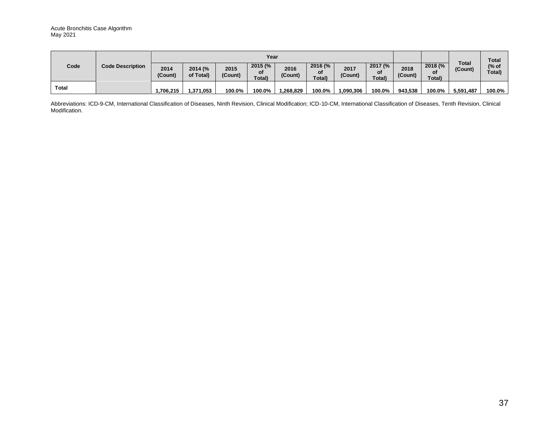|              |                         | Year            |                      |                 |                         |                 |                         |                 |                         |                 |                                |                  | <b>Total</b>    |
|--------------|-------------------------|-----------------|----------------------|-----------------|-------------------------|-----------------|-------------------------|-----------------|-------------------------|-----------------|--------------------------------|------------------|-----------------|
| Code         | <b>Code Description</b> | 2014<br>(Count) | 2014 (%<br>of Total) | 2015<br>(Count) | 2015 (%<br>0t<br>Total) | 2016<br>(Count) | 2016 (%<br>0t<br>Total) | 2017<br>(Count) | 2017 (%<br>οf<br>Total) | 2018<br>(Count) | 2018 (%<br><b>of</b><br>Total) | Total<br>(Count) | (% of<br>Total) |
| <b>Total</b> |                         | 1,706,215       | 1,371,053            | 100.0%          | 100.0%                  | 268,829. ا      | 100.0%                  | ,090,306        | 100.0%                  | 943,538         | 100.0%                         | 5,591,487        | 100.0%          |

Abbreviations: ICD-9-CM, International Classification of Diseases, Ninth Revision, Clinical Modification; ICD-10-CM, International Classification of Diseases, Tenth Revision, Clinical Modification.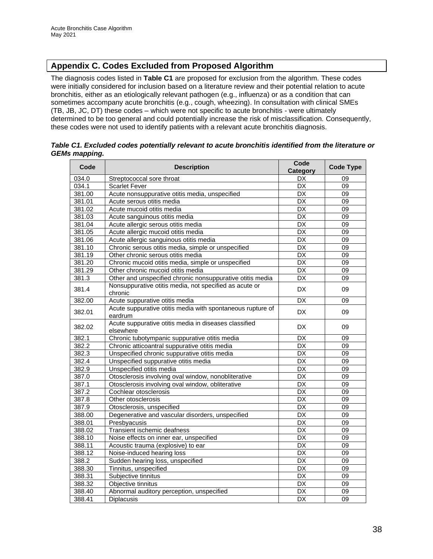# <span id="page-37-0"></span>**Appendix C. Codes Excluded from Proposed Algorithm**

The diagnosis codes listed in **Table C1** are proposed for exclusion from the algorithm. These codes were initially considered for inclusion based on a literature review and their potential relation to acute bronchitis, either as an etiologically relevant pathogen (e.g., influenza) or as a condition that can sometimes accompany acute bronchitis (e.g., cough, wheezing). In consultation with clinical SMEs (TB, JB, JC, DT) these codes – which were not specific to acute bronchitis - were ultimately determined to be too general and could potentially increase the risk of misclassification. Consequently, these codes were not used to identify patients with a relevant acute bronchitis diagnosis.

|                      | Table C1. Excluded codes potentially relevant to acute bronchitis identified from the literature or |  |  |
|----------------------|-----------------------------------------------------------------------------------------------------|--|--|
| <b>GEMs mapping.</b> |                                                                                                     |  |  |

| Code   | <b>Description</b>                                                    | Code            | <b>Code Type</b> |
|--------|-----------------------------------------------------------------------|-----------------|------------------|
|        |                                                                       | Category        |                  |
| 034.0  | Streptococcal sore throat                                             | DX              | 09               |
| 034.1  | <b>Scarlet Fever</b>                                                  | <b>DX</b>       | 09               |
| 381.00 | Acute nonsuppurative otitis media, unspecified                        | DX              | 09               |
| 381.01 | Acute serous otitis media                                             | DX              | 09               |
| 381.02 | Acute mucoid otitis media                                             | $\overline{DX}$ | $\overline{09}$  |
| 381.03 | Acute sanguinous otitis media                                         | DX              | 09               |
| 381.04 | Acute allergic serous otitis media                                    | $\overline{DX}$ | $\overline{09}$  |
| 381.05 | Acute allergic mucoid otitis media                                    | <b>DX</b>       | 09               |
| 381.06 | Acute allergic sanguinous otitis media                                | DX              | $\overline{09}$  |
| 381.10 | Chronic serous otitis media, simple or unspecified                    | DX              | 09               |
| 381.19 | Other chronic serous otitis media                                     | $\overline{DX}$ | 09               |
| 381.20 | Chronic mucoid otitis media, simple or unspecified                    | DX              | 09               |
| 381.29 | Other chronic mucoid otitis media                                     | $\overline{DX}$ | $\overline{09}$  |
| 381.3  | Other and unspecified chronic nonsuppurative otitis media             | DX              | $\overline{09}$  |
| 381.4  | Nonsuppurative otitis media, not specified as acute or<br>chronic     | DX              | 09               |
| 382.00 | Acute suppurative otitis media                                        | DX              | 09               |
| 382.01 | Acute suppurative otitis media with spontaneous rupture of<br>eardrum | <b>DX</b>       | 09               |
| 382.02 | Acute suppurative otitis media in diseases classified<br>elsewhere    | <b>DX</b>       | 09               |
| 382.1  | Chronic tubotympanic suppurative otitis media                         | $\overline{DX}$ | 09               |
| 382.2  | Chronic atticoantral suppurative otitis media                         | <b>DX</b>       | 09               |
| 382.3  | Unspecified chronic suppurative otitis media                          | DX              | 09               |
| 382.4  | Unspecified suppurative otitis media                                  | $\overline{DX}$ | $\overline{09}$  |
| 382.9  | Unspecified otitis media                                              | $\overline{DX}$ | $\overline{09}$  |
| 387.0  | Otosclerosis involving oval window, nonobliterative                   | $\overline{DX}$ | 09               |
| 387.1  | Otosclerosis involving oval window, obliterative                      | $\overline{DX}$ | 09               |
| 387.2  | Cochlear otosclerosis                                                 | $\overline{DX}$ | 09               |
| 387.8  | Other otosclerosis                                                    | DX              | 09               |
| 387.9  | Otosclerosis, unspecified                                             | DX              | $\overline{09}$  |
| 388.00 | Degenerative and vascular disorders, unspecified                      | <b>DX</b>       | 09               |
| 388.01 | Presbyacusis                                                          | DX              | 09               |
| 388.02 | Transient ischemic deafness                                           | $\overline{DX}$ | $\overline{09}$  |
| 388.10 | Noise effects on inner ear, unspecified                               | <b>DX</b>       | 09               |
| 388.11 | Acoustic trauma (explosive) to ear                                    | DX              | 09               |
| 388.12 | Noise-induced hearing loss                                            | <b>DX</b>       | 09               |
| 388.2  | Sudden hearing loss, unspecified                                      | DX              | 09               |
| 388.30 | Tinnitus, unspecified                                                 | DX              | 09               |
| 388.31 | Subjective tinnitus                                                   | $\overline{DX}$ | $\overline{09}$  |
| 388.32 | Objective tinnitus                                                    | <b>DX</b>       | 09               |
| 388.40 | Abnormal auditory perception, unspecified                             | DX              | 09               |
| 388.41 | <b>Diplacusis</b>                                                     | DX              | $\overline{09}$  |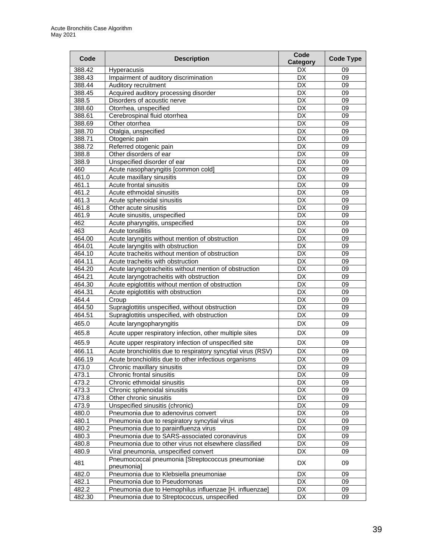| Code         | <b>Description</b>                                                                       | Code<br><b>Category</b> | <b>Code Type</b> |
|--------------|------------------------------------------------------------------------------------------|-------------------------|------------------|
| 388.42       | <b>Hyperacusis</b>                                                                       | DX                      | 09               |
| 388.43       | Impairment of auditory discrimination                                                    | <b>DX</b>               | 09               |
| 388.44       | Auditory recruitment                                                                     | <b>DX</b>               | 09               |
| 388.45       | Acquired auditory processing disorder                                                    | DX                      | 09               |
| 388.5        | Disorders of acoustic nerve                                                              | DX                      | 09               |
| 388.60       | Otorrhea, unspecified                                                                    | DX                      | 09               |
| 388.61       | Cerebrospinal fluid otorrhea                                                             | DX                      | 09               |
| 388.69       | Other otorrhea                                                                           | <b>DX</b>               | 09               |
| 388.70       | Otalgia, unspecified                                                                     | <b>DX</b>               | 09               |
| 388.71       | Otogenic pain                                                                            | DX                      | 09               |
| 388.72       | Referred otogenic pain                                                                   | DX                      | 09               |
| 388.8        | Other disorders of ear                                                                   | DX                      | 09               |
| 388.9<br>460 | Unspecified disorder of ear                                                              | DX<br>DX                | 09<br>09         |
| 461.0        | Acute nasopharyngitis [common cold]<br>Acute maxillary sinusitis                         | DX                      | 09               |
| 461.1        | Acute frontal sinusitis                                                                  | DX                      | 09               |
| 461.2        | Acute ethmoidal sinusitis                                                                | DX                      | 09               |
| 461.3        | Acute sphenoidal sinusitis                                                               | DX                      | 09               |
| 461.8        | Other acute sinusitis                                                                    | DX                      | 09               |
| 461.9        | Acute sinusitis, unspecified                                                             | DX                      | 09               |
| 462          | Acute pharyngitis, unspecified                                                           | DX                      | 09               |
| 463          | Acute tonsillitis                                                                        | <b>DX</b>               | 09               |
| 464.00       | Acute laryngitis without mention of obstruction                                          | DX                      | 09               |
| 464.01       | Acute laryngitis with obstruction                                                        | <b>DX</b>               | 09               |
| 464.10       | Acute tracheitis without mention of obstruction                                          | <b>DX</b>               | 09               |
| 464.11       | Acute tracheitis with obstruction                                                        | DX                      | 09               |
| 464.20       | Acute laryngotracheitis without mention of obstruction                                   | DX                      | 09               |
| 464.21       | Acute laryngotracheitis with obstruction                                                 | DX                      | 09               |
| 464.30       | Acute epiglottitis without mention of obstruction                                        | <b>DX</b>               | 09               |
| 464.31       | Acute epiglottitis with obstruction                                                      | DX                      | 09               |
| 464.4        | Croup                                                                                    | <b>DX</b>               | 09               |
| 464.50       | Supraglottitis unspecified, without obstruction                                          | DX                      | 09               |
| 464.51       | Supraglottitis unspecified, with obstruction                                             | DX                      | 09               |
| 465.0        | Acute laryngopharyngitis                                                                 | DX                      | 09               |
| 465.8        | Acute upper respiratory infection, other multiple sites                                  | DX                      | 09               |
| 465.9        | Acute upper respiratory infection of unspecified site                                    | DX                      | 09               |
| 466.11       | Acute bronchiolitis due to respiratory syncytial virus (RSV)                             | <b>DX</b>               | 09               |
| 466.19       | Acute bronchiolitis due to other infectious organisms                                    | DX                      | 09               |
| 473.0        | Chronic maxillary sinusitis                                                              | DX                      | 09               |
| 473.1        | Chronic frontal sinusitis                                                                | DX                      | 09               |
| 473.2        | Chronic ethmoidal sinusitis                                                              | DX                      | 09               |
| 473.3        | Chronic sphenoidal sinusitis                                                             | DX                      | 09               |
| 473.8        | Other chronic sinusitis                                                                  | DX                      | 09               |
| 473.9        | Unspecified sinusitis (chronic)                                                          | DX                      | 09               |
| 480.0        | Pneumonia due to adenovirus convert                                                      | DX                      | 09               |
| 480.1        | Pneumonia due to respiratory syncytial virus                                             | DX                      | 09               |
| 480.2        | Pneumonia due to parainfluenza virus                                                     | DX                      | 09               |
| 480.3        | Pneumonia due to SARS-associated coronavirus                                             | DX                      | 09               |
| 480.8        | Pneumonia due to other virus not elsewhere classified                                    | DX                      | 09               |
| 480.9        | Viral pneumonia, unspecified convert<br>Pneumococcal pneumonia [Streptococcus pneumoniae | DX                      | 09               |
| 481          | pneumonia]                                                                               | DX                      | 09               |
| 482.0        | Pneumonia due to Klebsiella pneumoniae                                                   | DX                      | 09               |
| 482.1        | Pneumonia due to Pseudomonas                                                             | <b>DX</b>               | 09               |
| 482.2        | Pneumonia due to Hemophilus influenzae [H. influenzae]                                   | DX                      | 09               |
| 482.30       | Pneumonia due to Streptococcus, unspecified                                              | DX                      | 09               |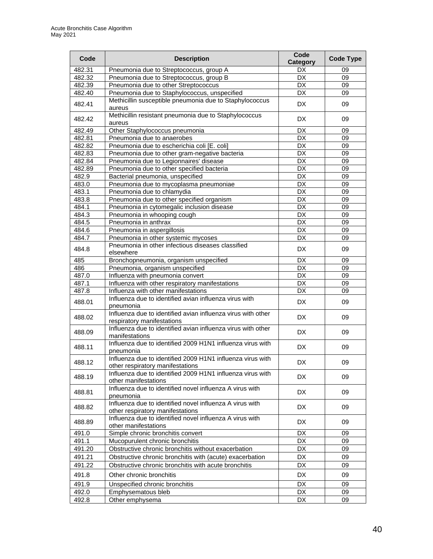| Code   | <b>Description</b>                                                                             | Code<br><b>Category</b> | <b>Code Type</b> |
|--------|------------------------------------------------------------------------------------------------|-------------------------|------------------|
| 482.31 | Pneumonia due to Streptococcus, group A                                                        | DX                      | 09               |
| 482.32 | Pneumonia due to Streptococcus, group B                                                        | DX                      | 09               |
| 482.39 | Pneumonia due to other Streptococcus                                                           | <b>DX</b>               | 09               |
| 482.40 | Pneumonia due to Staphylococcus, unspecified                                                   | <b>DX</b>               | 09               |
| 482.41 | Methicillin susceptible pneumonia due to Staphylococcus<br>aureus                              | <b>DX</b>               | 09               |
| 482.42 | Methicillin resistant pneumonia due to Staphylococcus<br>aureus                                | <b>DX</b>               | 09               |
| 482.49 | Other Staphylococcus pneumonia                                                                 | DX                      | 09               |
| 482.81 | Pneumonia due to anaerobes                                                                     | <b>DX</b>               | 09               |
| 482.82 | Pneumonia due to escherichia coli [E. coli]                                                    | DX                      | 09               |
| 482.83 | Pneumonia due to other gram-negative bacteria                                                  | DX                      | 09               |
| 482.84 | Pneumonia due to Legionnaires' disease                                                         | DX                      | 09               |
| 482.89 | Pneumonia due to other specified bacteria                                                      | $\overline{DX}$         | 09               |
| 482.9  | Bacterial pneumonia, unspecified                                                               | <b>DX</b>               | 09               |
| 483.0  | Pneumonia due to mycoplasma pneumoniae                                                         | DX                      | 09               |
| 483.1  | Pneumonia due to chlamydia                                                                     | DX                      | 09               |
| 483.8  | Pneumonia due to other specified organism                                                      | DX                      | 09               |
| 484.1  | Pneumonia in cytomegalic inclusion disease                                                     | DX                      | 09               |
| 484.3  | Pneumonia in whooping cough                                                                    | DX                      | 09               |
| 484.5  | Pneumonia in anthrax                                                                           | DX                      | 09               |
| 484.6  | Pneumonia in aspergillosis                                                                     | DX                      | 09               |
| 484.7  | Pneumonia in other systemic mycoses                                                            | DX                      | 09               |
| 484.8  | Pneumonia in other infectious diseases classified<br>elsewhere                                 | <b>DX</b>               | 09               |
| 485    | Bronchopneumonia, organism unspecified                                                         | DX                      | 09               |
| 486    | Pneumonia, organism unspecified                                                                | DX                      | 09               |
| 487.0  | Influenza with pneumonia convert                                                               | DX                      | 09               |
| 487.1  | Influenza with other respiratory manifestations                                                | <b>DX</b>               | 09               |
| 487.8  | Influenza with other manifestations                                                            | DX                      | 09               |
| 488.01 | Influenza due to identified avian influenza virus with<br>pneumonia                            | <b>DX</b>               | 09               |
| 488.02 | Influenza due to identified avian influenza virus with other<br>respiratory manifestations     | DX                      | 09               |
| 488.09 | Influenza due to identified avian influenza virus with other<br>manifestations                 | <b>DX</b>               | 09               |
| 488.11 | Influenza due to identified 2009 H1N1 influenza virus with<br>pneumonia                        | DX                      | 09               |
| 488.12 | Influenza due to identified 2009 H1N1 influenza virus with<br>other respiratory manifestations | DX                      | 09               |
| 488.19 | Influenza due to identified 2009 H1N1 influenza virus with<br>other manifestations             | DX                      | 09               |
| 488.81 | Influenza due to identified novel influenza A virus with<br>pneumonia                          | DX                      | 09               |
| 488.82 | Influenza due to identified novel influenza A virus with<br>other respiratory manifestations   | DX                      | 09               |
| 488.89 | Influenza due to identified novel influenza A virus with<br>other manifestations               | DX                      | 09               |
| 491.0  | Simple chronic bronchitis convert                                                              | DX                      | 09               |
| 491.1  | Mucopurulent chronic bronchitis                                                                | <b>DX</b>               | 09               |
| 491.20 | Obstructive chronic bronchitis without exacerbation                                            | DX                      | 09               |
| 491.21 | Obstructive chronic bronchitis with (acute) exacerbation                                       | DX                      | 09               |
| 491.22 | Obstructive chronic bronchitis with acute bronchitis                                           | DX                      | 09               |
| 491.8  | Other chronic bronchitis                                                                       | <b>DX</b>               | 09               |
| 491.9  | Unspecified chronic bronchitis                                                                 | DX                      | 09               |
| 492.0  | Emphysematous bleb                                                                             | DX                      | 09               |
| 492.8  | Other emphysema                                                                                | DX                      | 09               |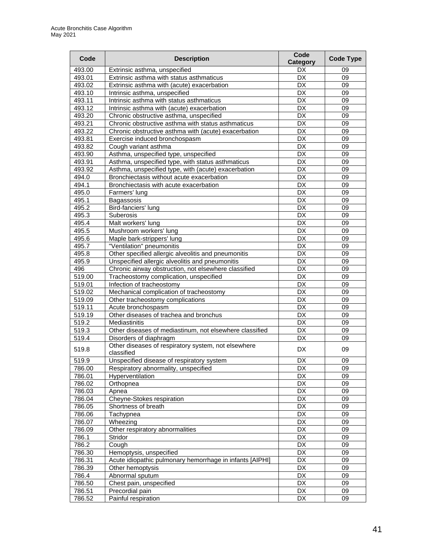| Code   | <b>Description</b>                                                | Code<br><b>Category</b> | <b>Code Type</b> |
|--------|-------------------------------------------------------------------|-------------------------|------------------|
| 493.00 | Extrinsic asthma, unspecified                                     | DX                      | 09               |
| 493.01 | Extrinsic asthma with status asthmaticus                          | DX                      | 09               |
| 493.02 | Extrinsic asthma with (acute) exacerbation                        | DX                      | 09               |
| 493.10 | Intrinsic asthma, unspecified                                     | DX                      | 09               |
| 493.11 | Intrinsic asthma with status asthmaticus                          | $\overline{DX}$         | 09               |
| 493.12 | Intrinsic asthma with (acute) exacerbation                        | DX                      | 09               |
| 493.20 | Chronic obstructive asthma, unspecified                           | DX                      | 09               |
| 493.21 | Chronic obstructive asthma with status asthmaticus                | DX                      | 09               |
| 493.22 | Chronic obstructive asthma with (acute) exacerbation              | DX                      | 09               |
| 493.81 | Exercise induced bronchospasm                                     | DX                      | 09               |
| 493.82 | Cough variant asthma                                              | DX                      | 09               |
| 493.90 | Asthma, unspecified type, unspecified                             | DX                      | 09               |
| 493.91 | Asthma, unspecified type, with status asthmaticus                 | DX                      | 09               |
| 493.92 | Asthma, unspecified type, with (acute) exacerbation               | DX                      | 09               |
| 494.0  | Bronchiectasis without acute exacerbation                         | DX                      | 09               |
| 494.1  | Bronchiectasis with acute exacerbation                            | DX                      | 09               |
| 495.0  | Farmers' lung                                                     | DX                      | 09               |
| 495.1  | Bagassosis                                                        | DX                      | 09               |
| 495.2  | Bird-fanciers' lung                                               | DX                      | 09               |
| 495.3  | Suberosis                                                         | $\overline{DX}$         | 09               |
| 495.4  | Malt workers' lung                                                | <b>DX</b>               | 09               |
| 495.5  | Mushroom workers' lung                                            | DX                      | 09               |
| 495.6  | Maple bark-strippers' lung                                        | DX                      | 09               |
| 495.7  | "Ventilation" pneumonitis                                         | DX                      | 09               |
| 495.8  | Other specified allergic alveolitis and pneumonitis               | DX                      | 09               |
| 495.9  | Unspecified allergic alveolitis and pneumonitis                   | $\overline{DX}$         | 09               |
| 496    | Chronic airway obstruction, not elsewhere classified              | DX                      | 09               |
| 519.00 | Tracheostomy complication, unspecified                            | DX                      | 09               |
| 519.01 | Infection of tracheostomy                                         | <b>DX</b>               | 09               |
| 519.02 | Mechanical complication of tracheostomy                           | DX                      | 09               |
| 519.09 | Other tracheostomy complications                                  | $\overline{DX}$         | 09               |
| 519.11 | Acute bronchospasm                                                | DX                      | 09               |
| 519.19 | Other diseases of trachea and bronchus                            | DX                      | 09               |
| 519.2  | Mediastinitis                                                     | DX                      | 09               |
| 519.3  | Other diseases of mediastinum, not elsewhere classified           | DX                      | 09               |
| 519.4  | Disorders of diaphragm                                            | DX                      | 09               |
| 519.8  | Other diseases of respiratory system, not elsewhere<br>classified | DX                      | 09               |
| 519.9  | Unspecified disease of respiratory system                         | DX                      | 09               |
| 786.00 | Respiratory abnormality, unspecified                              | DX                      | 09               |
| 786.01 | Hyperventilation                                                  | <b>DX</b>               | 09               |
| 786.02 | Orthopnea                                                         | DX                      | 09               |
| 786.03 | Apnea                                                             | DX                      | 09               |
| 786.04 | Cheyne-Stokes respiration                                         |                         |                  |
| 786.05 | Shortness of breath                                               | DX<br>DX                | 09<br>09         |
|        |                                                                   |                         |                  |
| 786.06 | Tachypnea                                                         | DX<br>DX                | 09               |
| 786.07 | Wheezing                                                          |                         | 09               |
| 786.09 | Other respiratory abnormalities                                   | DX                      | 09               |
| 786.1  | Stridor                                                           | DX                      | 09               |
| 786.2  | Cough                                                             | DX                      | 09               |
| 786.30 | Hemoptysis, unspecified                                           | DX                      | 09               |
| 786.31 | Acute idiopathic pulmonary hemorrhage in infants [AIPHI]          | DX                      | 09               |
| 786.39 | Other hemoptysis                                                  | DX                      | 09               |
| 786.4  | Abnormal sputum                                                   | DX                      | 09               |
| 786.50 | Chest pain, unspecified                                           | DX                      | 09               |
| 786.51 | Precordial pain                                                   | DX                      | 09               |
| 786.52 | Painful respiration                                               | DX                      | 09               |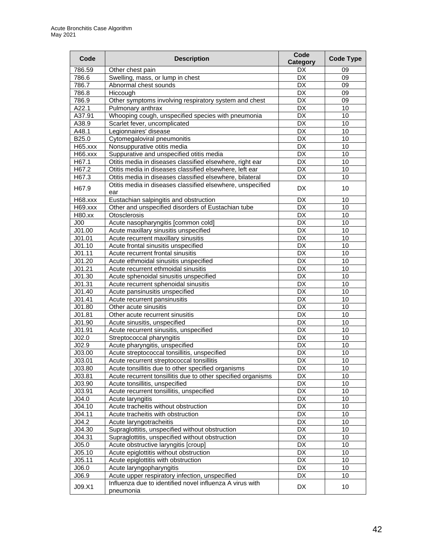| Code            | <b>Description</b>                                                | Code<br><b>Category</b> | <b>Code Type</b> |  |
|-----------------|-------------------------------------------------------------------|-------------------------|------------------|--|
| 786.59          | Other chest pain                                                  | DX                      | 09               |  |
| 786.6           | Swelling, mass, or lump in chest                                  | <b>DX</b>               | 09               |  |
| 786.7           | Abnormal chest sounds                                             | <b>DX</b>               | 09               |  |
| 786.8           | Hiccough                                                          | DX                      | 09               |  |
| 786.9           | Other symptoms involving respiratory system and chest             | <b>DX</b>               | 09               |  |
| A22.1           | Pulmonary anthrax                                                 | DX                      | 10               |  |
| A37.91          | Whooping cough, unspecified species with pneumonia                | <b>DX</b>               | 10               |  |
| A38.9           | Scarlet fever, uncomplicated                                      | <b>DX</b>               | 10               |  |
| A48.1           | Legionnaires' disease                                             | <b>DX</b>               | 10               |  |
| B25.0           | Cytomegaloviral pneumonitis                                       | DX                      | 10               |  |
| H65.xxx         | Nonsuppurative otitis media                                       | DX                      | 10               |  |
| H66.xxx         | Suppurative and unspecified otitis media                          | DX                      | 10               |  |
| H67.1           | Otitis media in diseases classified elsewhere, right ear          | DX                      | 10               |  |
| H67.2           | Otitis media in diseases classified elsewhere, left ear           | <b>DX</b>               | 10               |  |
| H67.3           | Otitis media in diseases classified elsewhere, bilateral          | DX                      | 10               |  |
| H67.9           | Otitis media in diseases classified elsewhere, unspecified<br>ear | DX                      | 10               |  |
| H68.xxx         | Eustachian salpingitis and obstruction                            | <b>DX</b>               | 10               |  |
| H69.xxx         | Other and unspecified disorders of Eustachian tube                | DX                      | 10               |  |
| H80.xx          | Otosclerosis                                                      | DX                      | 10               |  |
| J <sub>00</sub> | Acute nasopharyngitis [common cold]                               | DX                      | 10               |  |
| J01.00          | Acute maxillary sinusitis unspecified                             | DX                      | 10               |  |
| J01.01          | Acute recurrent maxillary sinusitis                               | DX                      | 10               |  |
| J01.10          | Acute frontal sinusitis unspecified                               | <b>DX</b>               | 10               |  |
| J01.11          | Acute recurrent frontal sinusitis                                 | DX                      | 10               |  |
| J01.20          | Acute ethmoidal sinusitis unspecified                             | DX                      | 10               |  |
| J01.21          | Acute recurrent ethmoidal sinusitis                               | DX                      | 10               |  |
| J01.30          | Acute sphenoidal sinusitis unspecified                            | DX                      | 10               |  |
| J01.31          | Acute recurrent sphenoidal sinusitis                              | DX                      | 10               |  |
| J01.40          | Acute pansinusitis unspecified                                    | $\overline{DX}$         | 10               |  |
| J01.41          | Acute recurrent pansinusitis                                      | DX                      | 10               |  |
| J01.80          | Other acute sinusitis                                             | DX                      | 10               |  |
| J01.81          | Other acute recurrent sinusitis                                   | <b>DX</b>               | 10               |  |
| J01.90          | Acute sinusitis, unspecified                                      | DX                      | 10               |  |
| J01.91          | Acute recurrent sinusitis, unspecified                            | <b>DX</b>               | 10               |  |
| J02.0           | Streptococcal pharyngitis                                         | DX                      | 10               |  |
| JO2.9           | Acute pharyngitis, unspecified                                    | DX                      | 10               |  |
| J03.00          | Acute streptococcal tonsillitis, unspecified                      | DX                      | 10               |  |
| J03.01          | Acute recurrent streptococcal tonsillitis                         | DX                      | 10               |  |
| J03.80          | Acute tonsillitis due to other specified organisms                | DX                      | 10               |  |
| J03.81          | Acute recurrent tonsillitis due to other specified organisms      | DX                      | 10               |  |
| J03.90          | Acute tonsillitis, unspecified                                    | DX                      | 10               |  |
| J03.91          | Acute recurrent tonsillitis, unspecified                          | DX                      | 10               |  |
| J04.0           | Acute laryngitis                                                  | DX                      | 10               |  |
| J04.10          | Acute tracheitis without obstruction                              | DX                      | 10               |  |
| J04.11          | Acute tracheitis with obstruction                                 | DX                      | 10               |  |
| J04.2           | Acute laryngotracheitis                                           | DX                      | 10               |  |
| J04.30          | Supraglottitis, unspecified without obstruction                   | DX                      | 10               |  |
| J04.31          | Supraglottitis, unspecified without obstruction                   | DX                      | 10               |  |
| J05.0           | Acute obstructive laryngitis [croup]                              | DX                      | 10               |  |
| J05.10          | Acute epiglottitis without obstruction                            | DX                      | 10               |  |
| J05.11          | Acute epiglottitis with obstruction                               | DX                      | 10               |  |
| J06.0           | Acute laryngopharyngitis                                          | DX                      | 10               |  |
| J06.9           | Acute upper respiratory infection, unspecified                    | <b>DX</b>               | 10               |  |
|                 | Influenza due to identified novel influenza A virus with          |                         |                  |  |
| J09.X1          | pneumonia                                                         | DX                      | 10               |  |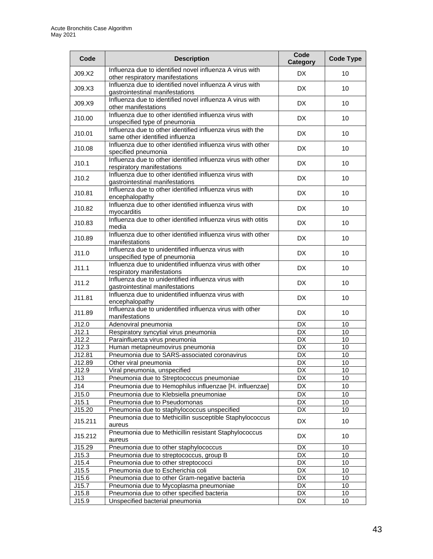| Influenza due to identified novel influenza A virus with<br>DX<br>J09.X2<br>10<br>other respiratory manifestations<br>Influenza due to identified novel influenza A virus with<br>J09.X3<br>DX.<br>10<br>gastrointestinal manifestations<br>Influenza due to identified novel influenza A virus with<br>J09.X9<br><b>DX</b><br>10<br>other manifestations<br>Influenza due to other identified influenza virus with<br>DX<br>J10.00<br>10 <sup>1</sup><br>unspecified type of pneumonia<br>Influenza due to other identified influenza virus with the<br>J10.01<br><b>DX</b><br>10<br>same other identified influenza<br>Influenza due to other identified influenza virus with other<br>10<br>J10.08<br>DX<br>specified pneumonia<br>Influenza due to other identified influenza virus with other<br>J10.1<br><b>DX</b><br>10<br>respiratory manifestations<br>Influenza due to other identified influenza virus with<br>J10.2<br><b>DX</b><br>10<br>gastrointestinal manifestations<br>Influenza due to other identified influenza virus with<br>J10.81<br>DX.<br>10<br>encephalopathy<br>Influenza due to other identified influenza virus with<br><b>DX</b><br>10<br>J10.82<br>myocarditis<br>Influenza due to other identified influenza virus with otitis<br>J10.83<br><b>DX</b><br>10<br>media<br>Influenza due to other identified influenza virus with other<br>J10.89<br><b>DX</b><br>10 <sup>1</sup><br>manifestations<br>Influenza due to unidentified influenza virus with<br>DX<br>J11.0<br>10 <sup>1</sup><br>unspecified type of pneumonia<br>Influenza due to unidentified influenza virus with other<br>J11.1<br><b>DX</b><br>10 <sup>1</sup><br>respiratory manifestations<br>Influenza due to unidentified influenza virus with<br>J11.2<br><b>DX</b><br>10<br>gastrointestinal manifestations<br>Influenza due to unidentified influenza virus with<br>J11.81<br><b>DX</b><br>10<br>encephalopathy<br>Influenza due to unidentified influenza virus with other<br><b>DX</b><br>10<br>J11.89<br>manifestations<br>Adenoviral pneumonia<br><b>DX</b><br>J12.0<br>10<br>J12.1<br>DX<br>Respiratory syncytial virus pneumonia<br>10<br>J12.2<br>Parainfluenza virus pneumonia<br>DX<br>10<br>DX<br>J12.3<br>10<br>Human metapneumovirus pneumonia<br>J12.81<br>Pneumonia due to SARS-associated coronavirus<br>DX<br>10<br>DX<br>10<br>J12.89<br>Other viral pneumonia<br>J12.9<br>Viral pneumonia, unspecified<br>DX<br>10<br>J13<br>Pneumonia due to Streptococcus pneumoniae<br>DX<br>10<br>Pneumonia due to Hemophilus influenzae [H. influenzae]<br>DX<br>J14<br>10<br>Pneumonia due to Klebsiella pneumoniae<br>J15.0<br>DX<br>10<br>J15.1<br>Pneumonia due to Pseudomonas<br>DX<br>10<br>J15.20<br>Pneumonia due to staphylococcus unspecified<br>DX<br>10<br>Pneumonia due to Methicillin susceptible Staphylococcus<br>J15.211<br>DX<br>10<br>aureus<br>Pneumonia due to Methicillin resistant Staphylococcus<br>DX<br>10<br>J15.212<br>aureus<br>Pneumonia due to other staphylococcus<br>J15.29<br>DX<br>10<br>DX<br>10<br>J15.3<br>Pneumonia due to streptococcus, group B<br>J15.4<br>Pneumonia due to other streptococci<br>DX<br>10<br>Pneumonia due to Escherichia coli<br>J15.5<br>DX<br>10<br>J15.6<br>Pneumonia due to other Gram-negative bacteria<br>DX<br>10<br>J15.7<br>Pneumonia due to Mycoplasma pneumoniae<br>DX<br>10<br>DX<br>J15.8<br>Pneumonia due to other specified bacteria<br>10 | Code  | <b>Description</b>              | Code<br>Category | <b>Code Type</b> |  |  |
|--------------------------------------------------------------------------------------------------------------------------------------------------------------------------------------------------------------------------------------------------------------------------------------------------------------------------------------------------------------------------------------------------------------------------------------------------------------------------------------------------------------------------------------------------------------------------------------------------------------------------------------------------------------------------------------------------------------------------------------------------------------------------------------------------------------------------------------------------------------------------------------------------------------------------------------------------------------------------------------------------------------------------------------------------------------------------------------------------------------------------------------------------------------------------------------------------------------------------------------------------------------------------------------------------------------------------------------------------------------------------------------------------------------------------------------------------------------------------------------------------------------------------------------------------------------------------------------------------------------------------------------------------------------------------------------------------------------------------------------------------------------------------------------------------------------------------------------------------------------------------------------------------------------------------------------------------------------------------------------------------------------------------------------------------------------------------------------------------------------------------------------------------------------------------------------------------------------------------------------------------------------------------------------------------------------------------------------------------------------------------------------------------------------------------------------------------------------------------------------------------------------------------------------------------------------------------------------------------------------------------------------------------------------------------------------------------------------------------------------------------------------------------------------------------------------------------------------------------------------------------------------------------------------------------------------------------------------------------------------------------------------------------------------------------------------------------------------------------------------------------------------------------------------------------------------------------------------------------------------------------------------------------------------------------------------------------------------------------------------------------------------------------------------------------------------|-------|---------------------------------|------------------|------------------|--|--|
|                                                                                                                                                                                                                                                                                                                                                                                                                                                                                                                                                                                                                                                                                                                                                                                                                                                                                                                                                                                                                                                                                                                                                                                                                                                                                                                                                                                                                                                                                                                                                                                                                                                                                                                                                                                                                                                                                                                                                                                                                                                                                                                                                                                                                                                                                                                                                                                                                                                                                                                                                                                                                                                                                                                                                                                                                                                                                                                                                                                                                                                                                                                                                                                                                                                                                                                                                                                                                                      |       |                                 |                  |                  |  |  |
|                                                                                                                                                                                                                                                                                                                                                                                                                                                                                                                                                                                                                                                                                                                                                                                                                                                                                                                                                                                                                                                                                                                                                                                                                                                                                                                                                                                                                                                                                                                                                                                                                                                                                                                                                                                                                                                                                                                                                                                                                                                                                                                                                                                                                                                                                                                                                                                                                                                                                                                                                                                                                                                                                                                                                                                                                                                                                                                                                                                                                                                                                                                                                                                                                                                                                                                                                                                                                                      |       |                                 |                  |                  |  |  |
|                                                                                                                                                                                                                                                                                                                                                                                                                                                                                                                                                                                                                                                                                                                                                                                                                                                                                                                                                                                                                                                                                                                                                                                                                                                                                                                                                                                                                                                                                                                                                                                                                                                                                                                                                                                                                                                                                                                                                                                                                                                                                                                                                                                                                                                                                                                                                                                                                                                                                                                                                                                                                                                                                                                                                                                                                                                                                                                                                                                                                                                                                                                                                                                                                                                                                                                                                                                                                                      |       |                                 |                  |                  |  |  |
|                                                                                                                                                                                                                                                                                                                                                                                                                                                                                                                                                                                                                                                                                                                                                                                                                                                                                                                                                                                                                                                                                                                                                                                                                                                                                                                                                                                                                                                                                                                                                                                                                                                                                                                                                                                                                                                                                                                                                                                                                                                                                                                                                                                                                                                                                                                                                                                                                                                                                                                                                                                                                                                                                                                                                                                                                                                                                                                                                                                                                                                                                                                                                                                                                                                                                                                                                                                                                                      |       |                                 |                  |                  |  |  |
|                                                                                                                                                                                                                                                                                                                                                                                                                                                                                                                                                                                                                                                                                                                                                                                                                                                                                                                                                                                                                                                                                                                                                                                                                                                                                                                                                                                                                                                                                                                                                                                                                                                                                                                                                                                                                                                                                                                                                                                                                                                                                                                                                                                                                                                                                                                                                                                                                                                                                                                                                                                                                                                                                                                                                                                                                                                                                                                                                                                                                                                                                                                                                                                                                                                                                                                                                                                                                                      |       |                                 |                  |                  |  |  |
|                                                                                                                                                                                                                                                                                                                                                                                                                                                                                                                                                                                                                                                                                                                                                                                                                                                                                                                                                                                                                                                                                                                                                                                                                                                                                                                                                                                                                                                                                                                                                                                                                                                                                                                                                                                                                                                                                                                                                                                                                                                                                                                                                                                                                                                                                                                                                                                                                                                                                                                                                                                                                                                                                                                                                                                                                                                                                                                                                                                                                                                                                                                                                                                                                                                                                                                                                                                                                                      |       |                                 |                  |                  |  |  |
|                                                                                                                                                                                                                                                                                                                                                                                                                                                                                                                                                                                                                                                                                                                                                                                                                                                                                                                                                                                                                                                                                                                                                                                                                                                                                                                                                                                                                                                                                                                                                                                                                                                                                                                                                                                                                                                                                                                                                                                                                                                                                                                                                                                                                                                                                                                                                                                                                                                                                                                                                                                                                                                                                                                                                                                                                                                                                                                                                                                                                                                                                                                                                                                                                                                                                                                                                                                                                                      |       |                                 |                  |                  |  |  |
|                                                                                                                                                                                                                                                                                                                                                                                                                                                                                                                                                                                                                                                                                                                                                                                                                                                                                                                                                                                                                                                                                                                                                                                                                                                                                                                                                                                                                                                                                                                                                                                                                                                                                                                                                                                                                                                                                                                                                                                                                                                                                                                                                                                                                                                                                                                                                                                                                                                                                                                                                                                                                                                                                                                                                                                                                                                                                                                                                                                                                                                                                                                                                                                                                                                                                                                                                                                                                                      |       |                                 |                  |                  |  |  |
|                                                                                                                                                                                                                                                                                                                                                                                                                                                                                                                                                                                                                                                                                                                                                                                                                                                                                                                                                                                                                                                                                                                                                                                                                                                                                                                                                                                                                                                                                                                                                                                                                                                                                                                                                                                                                                                                                                                                                                                                                                                                                                                                                                                                                                                                                                                                                                                                                                                                                                                                                                                                                                                                                                                                                                                                                                                                                                                                                                                                                                                                                                                                                                                                                                                                                                                                                                                                                                      |       |                                 |                  |                  |  |  |
|                                                                                                                                                                                                                                                                                                                                                                                                                                                                                                                                                                                                                                                                                                                                                                                                                                                                                                                                                                                                                                                                                                                                                                                                                                                                                                                                                                                                                                                                                                                                                                                                                                                                                                                                                                                                                                                                                                                                                                                                                                                                                                                                                                                                                                                                                                                                                                                                                                                                                                                                                                                                                                                                                                                                                                                                                                                                                                                                                                                                                                                                                                                                                                                                                                                                                                                                                                                                                                      |       |                                 |                  |                  |  |  |
|                                                                                                                                                                                                                                                                                                                                                                                                                                                                                                                                                                                                                                                                                                                                                                                                                                                                                                                                                                                                                                                                                                                                                                                                                                                                                                                                                                                                                                                                                                                                                                                                                                                                                                                                                                                                                                                                                                                                                                                                                                                                                                                                                                                                                                                                                                                                                                                                                                                                                                                                                                                                                                                                                                                                                                                                                                                                                                                                                                                                                                                                                                                                                                                                                                                                                                                                                                                                                                      |       |                                 |                  |                  |  |  |
|                                                                                                                                                                                                                                                                                                                                                                                                                                                                                                                                                                                                                                                                                                                                                                                                                                                                                                                                                                                                                                                                                                                                                                                                                                                                                                                                                                                                                                                                                                                                                                                                                                                                                                                                                                                                                                                                                                                                                                                                                                                                                                                                                                                                                                                                                                                                                                                                                                                                                                                                                                                                                                                                                                                                                                                                                                                                                                                                                                                                                                                                                                                                                                                                                                                                                                                                                                                                                                      |       |                                 |                  |                  |  |  |
|                                                                                                                                                                                                                                                                                                                                                                                                                                                                                                                                                                                                                                                                                                                                                                                                                                                                                                                                                                                                                                                                                                                                                                                                                                                                                                                                                                                                                                                                                                                                                                                                                                                                                                                                                                                                                                                                                                                                                                                                                                                                                                                                                                                                                                                                                                                                                                                                                                                                                                                                                                                                                                                                                                                                                                                                                                                                                                                                                                                                                                                                                                                                                                                                                                                                                                                                                                                                                                      |       |                                 |                  |                  |  |  |
|                                                                                                                                                                                                                                                                                                                                                                                                                                                                                                                                                                                                                                                                                                                                                                                                                                                                                                                                                                                                                                                                                                                                                                                                                                                                                                                                                                                                                                                                                                                                                                                                                                                                                                                                                                                                                                                                                                                                                                                                                                                                                                                                                                                                                                                                                                                                                                                                                                                                                                                                                                                                                                                                                                                                                                                                                                                                                                                                                                                                                                                                                                                                                                                                                                                                                                                                                                                                                                      |       |                                 |                  |                  |  |  |
|                                                                                                                                                                                                                                                                                                                                                                                                                                                                                                                                                                                                                                                                                                                                                                                                                                                                                                                                                                                                                                                                                                                                                                                                                                                                                                                                                                                                                                                                                                                                                                                                                                                                                                                                                                                                                                                                                                                                                                                                                                                                                                                                                                                                                                                                                                                                                                                                                                                                                                                                                                                                                                                                                                                                                                                                                                                                                                                                                                                                                                                                                                                                                                                                                                                                                                                                                                                                                                      |       |                                 |                  |                  |  |  |
|                                                                                                                                                                                                                                                                                                                                                                                                                                                                                                                                                                                                                                                                                                                                                                                                                                                                                                                                                                                                                                                                                                                                                                                                                                                                                                                                                                                                                                                                                                                                                                                                                                                                                                                                                                                                                                                                                                                                                                                                                                                                                                                                                                                                                                                                                                                                                                                                                                                                                                                                                                                                                                                                                                                                                                                                                                                                                                                                                                                                                                                                                                                                                                                                                                                                                                                                                                                                                                      |       |                                 |                  |                  |  |  |
|                                                                                                                                                                                                                                                                                                                                                                                                                                                                                                                                                                                                                                                                                                                                                                                                                                                                                                                                                                                                                                                                                                                                                                                                                                                                                                                                                                                                                                                                                                                                                                                                                                                                                                                                                                                                                                                                                                                                                                                                                                                                                                                                                                                                                                                                                                                                                                                                                                                                                                                                                                                                                                                                                                                                                                                                                                                                                                                                                                                                                                                                                                                                                                                                                                                                                                                                                                                                                                      |       |                                 |                  |                  |  |  |
|                                                                                                                                                                                                                                                                                                                                                                                                                                                                                                                                                                                                                                                                                                                                                                                                                                                                                                                                                                                                                                                                                                                                                                                                                                                                                                                                                                                                                                                                                                                                                                                                                                                                                                                                                                                                                                                                                                                                                                                                                                                                                                                                                                                                                                                                                                                                                                                                                                                                                                                                                                                                                                                                                                                                                                                                                                                                                                                                                                                                                                                                                                                                                                                                                                                                                                                                                                                                                                      |       |                                 |                  |                  |  |  |
|                                                                                                                                                                                                                                                                                                                                                                                                                                                                                                                                                                                                                                                                                                                                                                                                                                                                                                                                                                                                                                                                                                                                                                                                                                                                                                                                                                                                                                                                                                                                                                                                                                                                                                                                                                                                                                                                                                                                                                                                                                                                                                                                                                                                                                                                                                                                                                                                                                                                                                                                                                                                                                                                                                                                                                                                                                                                                                                                                                                                                                                                                                                                                                                                                                                                                                                                                                                                                                      |       |                                 |                  |                  |  |  |
|                                                                                                                                                                                                                                                                                                                                                                                                                                                                                                                                                                                                                                                                                                                                                                                                                                                                                                                                                                                                                                                                                                                                                                                                                                                                                                                                                                                                                                                                                                                                                                                                                                                                                                                                                                                                                                                                                                                                                                                                                                                                                                                                                                                                                                                                                                                                                                                                                                                                                                                                                                                                                                                                                                                                                                                                                                                                                                                                                                                                                                                                                                                                                                                                                                                                                                                                                                                                                                      |       |                                 |                  |                  |  |  |
|                                                                                                                                                                                                                                                                                                                                                                                                                                                                                                                                                                                                                                                                                                                                                                                                                                                                                                                                                                                                                                                                                                                                                                                                                                                                                                                                                                                                                                                                                                                                                                                                                                                                                                                                                                                                                                                                                                                                                                                                                                                                                                                                                                                                                                                                                                                                                                                                                                                                                                                                                                                                                                                                                                                                                                                                                                                                                                                                                                                                                                                                                                                                                                                                                                                                                                                                                                                                                                      |       |                                 |                  |                  |  |  |
|                                                                                                                                                                                                                                                                                                                                                                                                                                                                                                                                                                                                                                                                                                                                                                                                                                                                                                                                                                                                                                                                                                                                                                                                                                                                                                                                                                                                                                                                                                                                                                                                                                                                                                                                                                                                                                                                                                                                                                                                                                                                                                                                                                                                                                                                                                                                                                                                                                                                                                                                                                                                                                                                                                                                                                                                                                                                                                                                                                                                                                                                                                                                                                                                                                                                                                                                                                                                                                      |       |                                 |                  |                  |  |  |
|                                                                                                                                                                                                                                                                                                                                                                                                                                                                                                                                                                                                                                                                                                                                                                                                                                                                                                                                                                                                                                                                                                                                                                                                                                                                                                                                                                                                                                                                                                                                                                                                                                                                                                                                                                                                                                                                                                                                                                                                                                                                                                                                                                                                                                                                                                                                                                                                                                                                                                                                                                                                                                                                                                                                                                                                                                                                                                                                                                                                                                                                                                                                                                                                                                                                                                                                                                                                                                      |       |                                 |                  |                  |  |  |
|                                                                                                                                                                                                                                                                                                                                                                                                                                                                                                                                                                                                                                                                                                                                                                                                                                                                                                                                                                                                                                                                                                                                                                                                                                                                                                                                                                                                                                                                                                                                                                                                                                                                                                                                                                                                                                                                                                                                                                                                                                                                                                                                                                                                                                                                                                                                                                                                                                                                                                                                                                                                                                                                                                                                                                                                                                                                                                                                                                                                                                                                                                                                                                                                                                                                                                                                                                                                                                      |       |                                 |                  |                  |  |  |
|                                                                                                                                                                                                                                                                                                                                                                                                                                                                                                                                                                                                                                                                                                                                                                                                                                                                                                                                                                                                                                                                                                                                                                                                                                                                                                                                                                                                                                                                                                                                                                                                                                                                                                                                                                                                                                                                                                                                                                                                                                                                                                                                                                                                                                                                                                                                                                                                                                                                                                                                                                                                                                                                                                                                                                                                                                                                                                                                                                                                                                                                                                                                                                                                                                                                                                                                                                                                                                      |       |                                 |                  |                  |  |  |
|                                                                                                                                                                                                                                                                                                                                                                                                                                                                                                                                                                                                                                                                                                                                                                                                                                                                                                                                                                                                                                                                                                                                                                                                                                                                                                                                                                                                                                                                                                                                                                                                                                                                                                                                                                                                                                                                                                                                                                                                                                                                                                                                                                                                                                                                                                                                                                                                                                                                                                                                                                                                                                                                                                                                                                                                                                                                                                                                                                                                                                                                                                                                                                                                                                                                                                                                                                                                                                      |       |                                 |                  |                  |  |  |
|                                                                                                                                                                                                                                                                                                                                                                                                                                                                                                                                                                                                                                                                                                                                                                                                                                                                                                                                                                                                                                                                                                                                                                                                                                                                                                                                                                                                                                                                                                                                                                                                                                                                                                                                                                                                                                                                                                                                                                                                                                                                                                                                                                                                                                                                                                                                                                                                                                                                                                                                                                                                                                                                                                                                                                                                                                                                                                                                                                                                                                                                                                                                                                                                                                                                                                                                                                                                                                      |       |                                 |                  |                  |  |  |
|                                                                                                                                                                                                                                                                                                                                                                                                                                                                                                                                                                                                                                                                                                                                                                                                                                                                                                                                                                                                                                                                                                                                                                                                                                                                                                                                                                                                                                                                                                                                                                                                                                                                                                                                                                                                                                                                                                                                                                                                                                                                                                                                                                                                                                                                                                                                                                                                                                                                                                                                                                                                                                                                                                                                                                                                                                                                                                                                                                                                                                                                                                                                                                                                                                                                                                                                                                                                                                      |       |                                 |                  |                  |  |  |
|                                                                                                                                                                                                                                                                                                                                                                                                                                                                                                                                                                                                                                                                                                                                                                                                                                                                                                                                                                                                                                                                                                                                                                                                                                                                                                                                                                                                                                                                                                                                                                                                                                                                                                                                                                                                                                                                                                                                                                                                                                                                                                                                                                                                                                                                                                                                                                                                                                                                                                                                                                                                                                                                                                                                                                                                                                                                                                                                                                                                                                                                                                                                                                                                                                                                                                                                                                                                                                      |       |                                 |                  |                  |  |  |
|                                                                                                                                                                                                                                                                                                                                                                                                                                                                                                                                                                                                                                                                                                                                                                                                                                                                                                                                                                                                                                                                                                                                                                                                                                                                                                                                                                                                                                                                                                                                                                                                                                                                                                                                                                                                                                                                                                                                                                                                                                                                                                                                                                                                                                                                                                                                                                                                                                                                                                                                                                                                                                                                                                                                                                                                                                                                                                                                                                                                                                                                                                                                                                                                                                                                                                                                                                                                                                      |       |                                 |                  |                  |  |  |
|                                                                                                                                                                                                                                                                                                                                                                                                                                                                                                                                                                                                                                                                                                                                                                                                                                                                                                                                                                                                                                                                                                                                                                                                                                                                                                                                                                                                                                                                                                                                                                                                                                                                                                                                                                                                                                                                                                                                                                                                                                                                                                                                                                                                                                                                                                                                                                                                                                                                                                                                                                                                                                                                                                                                                                                                                                                                                                                                                                                                                                                                                                                                                                                                                                                                                                                                                                                                                                      |       |                                 |                  |                  |  |  |
|                                                                                                                                                                                                                                                                                                                                                                                                                                                                                                                                                                                                                                                                                                                                                                                                                                                                                                                                                                                                                                                                                                                                                                                                                                                                                                                                                                                                                                                                                                                                                                                                                                                                                                                                                                                                                                                                                                                                                                                                                                                                                                                                                                                                                                                                                                                                                                                                                                                                                                                                                                                                                                                                                                                                                                                                                                                                                                                                                                                                                                                                                                                                                                                                                                                                                                                                                                                                                                      |       |                                 |                  |                  |  |  |
|                                                                                                                                                                                                                                                                                                                                                                                                                                                                                                                                                                                                                                                                                                                                                                                                                                                                                                                                                                                                                                                                                                                                                                                                                                                                                                                                                                                                                                                                                                                                                                                                                                                                                                                                                                                                                                                                                                                                                                                                                                                                                                                                                                                                                                                                                                                                                                                                                                                                                                                                                                                                                                                                                                                                                                                                                                                                                                                                                                                                                                                                                                                                                                                                                                                                                                                                                                                                                                      |       |                                 |                  |                  |  |  |
|                                                                                                                                                                                                                                                                                                                                                                                                                                                                                                                                                                                                                                                                                                                                                                                                                                                                                                                                                                                                                                                                                                                                                                                                                                                                                                                                                                                                                                                                                                                                                                                                                                                                                                                                                                                                                                                                                                                                                                                                                                                                                                                                                                                                                                                                                                                                                                                                                                                                                                                                                                                                                                                                                                                                                                                                                                                                                                                                                                                                                                                                                                                                                                                                                                                                                                                                                                                                                                      |       |                                 |                  |                  |  |  |
|                                                                                                                                                                                                                                                                                                                                                                                                                                                                                                                                                                                                                                                                                                                                                                                                                                                                                                                                                                                                                                                                                                                                                                                                                                                                                                                                                                                                                                                                                                                                                                                                                                                                                                                                                                                                                                                                                                                                                                                                                                                                                                                                                                                                                                                                                                                                                                                                                                                                                                                                                                                                                                                                                                                                                                                                                                                                                                                                                                                                                                                                                                                                                                                                                                                                                                                                                                                                                                      |       |                                 |                  |                  |  |  |
|                                                                                                                                                                                                                                                                                                                                                                                                                                                                                                                                                                                                                                                                                                                                                                                                                                                                                                                                                                                                                                                                                                                                                                                                                                                                                                                                                                                                                                                                                                                                                                                                                                                                                                                                                                                                                                                                                                                                                                                                                                                                                                                                                                                                                                                                                                                                                                                                                                                                                                                                                                                                                                                                                                                                                                                                                                                                                                                                                                                                                                                                                                                                                                                                                                                                                                                                                                                                                                      |       |                                 |                  |                  |  |  |
|                                                                                                                                                                                                                                                                                                                                                                                                                                                                                                                                                                                                                                                                                                                                                                                                                                                                                                                                                                                                                                                                                                                                                                                                                                                                                                                                                                                                                                                                                                                                                                                                                                                                                                                                                                                                                                                                                                                                                                                                                                                                                                                                                                                                                                                                                                                                                                                                                                                                                                                                                                                                                                                                                                                                                                                                                                                                                                                                                                                                                                                                                                                                                                                                                                                                                                                                                                                                                                      |       |                                 |                  |                  |  |  |
|                                                                                                                                                                                                                                                                                                                                                                                                                                                                                                                                                                                                                                                                                                                                                                                                                                                                                                                                                                                                                                                                                                                                                                                                                                                                                                                                                                                                                                                                                                                                                                                                                                                                                                                                                                                                                                                                                                                                                                                                                                                                                                                                                                                                                                                                                                                                                                                                                                                                                                                                                                                                                                                                                                                                                                                                                                                                                                                                                                                                                                                                                                                                                                                                                                                                                                                                                                                                                                      |       |                                 |                  |                  |  |  |
|                                                                                                                                                                                                                                                                                                                                                                                                                                                                                                                                                                                                                                                                                                                                                                                                                                                                                                                                                                                                                                                                                                                                                                                                                                                                                                                                                                                                                                                                                                                                                                                                                                                                                                                                                                                                                                                                                                                                                                                                                                                                                                                                                                                                                                                                                                                                                                                                                                                                                                                                                                                                                                                                                                                                                                                                                                                                                                                                                                                                                                                                                                                                                                                                                                                                                                                                                                                                                                      | J15.9 | Unspecified bacterial pneumonia | DX               | 10               |  |  |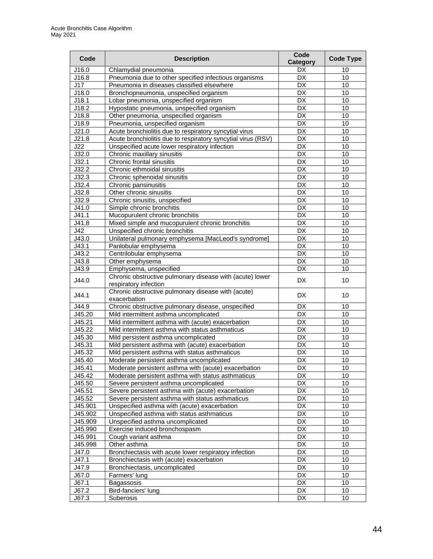| Code               | <b>Description</b>                                           | Code<br><b>Category</b> | <b>Code Type</b> |  |
|--------------------|--------------------------------------------------------------|-------------------------|------------------|--|
| J16.0              | Chlamydial pneumonia                                         | DX                      | 10               |  |
| J16.8              | Pneumonia due to other specified infectious organisms        | DX                      | 10               |  |
| J17                | Pneumonia in diseases classified elsewhere                   | <b>DX</b>               | 10               |  |
| J18.0              | Bronchopneumonia, unspecified organism                       | <b>DX</b>               | 10               |  |
| J18.1              | Lobar pneumonia, unspecified organism                        | DX                      | 10               |  |
| J18.2              | Hypostatic pneumonia, unspecified organism                   | DX                      | 10               |  |
| J18.8              | Other pneumonia, unspecified organism                        | DX                      | 10               |  |
| J18.9              | Pneumonia, unspecified organism                              | <b>DX</b>               | 10               |  |
| J21.0              | Acute bronchiolitis due to respiratory syncytial virus       | DX                      | 10               |  |
| J21.8              | Acute bronchiolitis due to respiratory syncytial virus (RSV) | DX                      | 10               |  |
| J22                | Unspecified acute lower respiratory infection                | <b>DX</b>               | 10               |  |
| J32.0              | Chronic maxillary sinusitis                                  | DX                      | 10               |  |
| J32.1              | Chronic frontal sinusitis                                    | DX                      | 10               |  |
| J32.2              | Chronic ethmoidal sinusitis                                  | <b>DX</b>               | 10               |  |
| J32.3              | Chronic sphenoidal sinusitis                                 | DX                      | 10               |  |
| J32.4              | Chronic pansinusitis                                         | DX                      | 10               |  |
| J32.8              | Other chronic sinusitis                                      | DX                      | 10               |  |
| J32.9              | Chronic sinusitis, unspecified                               | DX                      | 10               |  |
| J41.0              | Simple chronic bronchitis                                    | <b>DX</b>               | 10               |  |
| J41.1              | Mucopurulent chronic bronchitis                              | DX                      | 10               |  |
| J41.8              | Mixed simple and mucopurulent chronic bronchitis             | DX                      | 10               |  |
| J42                | Unspecified chronic bronchitis                               | DX                      | 10               |  |
| J43.0              | Unilateral pulmonary emphysema [MacLeod's syndrome]          | DX                      | 10               |  |
| J43.1              | Panlobular emphysema                                         | <b>DX</b>               | 10               |  |
| J43.2              | Centrilobular emphysema                                      | <b>DX</b>               | 10               |  |
| J43.8              | Other emphysema                                              | DX                      | 10               |  |
| J43.9              | Emphysema, unspecified                                       | <b>DX</b>               | 10               |  |
|                    | Chronic obstructive pulmonary disease with (acute) lower     |                         |                  |  |
| J44.0              | respiratory infection                                        | <b>DX</b>               | 10               |  |
|                    | Chronic obstructive pulmonary disease with (acute)           |                         |                  |  |
| J44.1              | exacerbation                                                 | DX                      | 10               |  |
| J44.9              | Chronic obstructive pulmonary disease, unspecified           | DX                      | 10               |  |
| J45.20             | Mild intermittent asthma uncomplicated                       | DX                      | 10               |  |
| J45.21             | Mild intermittent asthma with (acute) exacerbation           | <b>DX</b>               | 10               |  |
| J45.22             | Mild intermittent asthma with status asthmaticus             | <b>DX</b>               | 10               |  |
| J45.30             | Mild persistent asthma uncomplicated                         | DX                      | 10               |  |
| J45.31             | Mild persistent asthma with (acute) exacerbation             | DX                      | 10               |  |
| J45.32             | Mild persistent asthma with status asthmaticus               | <b>DX</b>               | 10               |  |
| J45.40             | Moderate persistent asthma uncomplicated                     | <b>DX</b>               | 10               |  |
| J45.41             | Moderate persistent asthma with (acute) exacerbation         | DX                      | 10               |  |
| J45.42             | Moderate persistent asthma with status asthmaticus           | DX                      | 10               |  |
| J45.50             | Severe persistent asthma uncomplicated                       | DX                      | 10               |  |
| J45.51             | Severe persistent asthma with (acute) exacerbation           | DX                      | 10               |  |
| J45.52             | Severe persistent asthma with status asthmaticus             | DX                      | 10               |  |
| J45.901            | Unspecified asthma with (acute) exacerbation                 | DX                      | 10               |  |
| J45.902            | Unspecified asthma with status asthmaticus                   | DX                      | 10               |  |
| J45.909            | Unspecified asthma uncomplicated                             | DX                      | 10               |  |
| J45.990            | Exercise induced bronchospasm                                | DX                      | 10               |  |
|                    |                                                              | DX                      |                  |  |
| J45.991<br>J45.998 | Cough variant asthma<br>Other asthma                         | DX                      | 10<br>10         |  |
|                    |                                                              |                         |                  |  |
| J47.0              | Bronchiectasis with acute lower respiratory infection        | DX                      | 10               |  |
| J47.1              | Bronchiectasis with (acute) exacerbation                     | DX                      | 10               |  |
| J47.9              | Bronchiectasis, uncomplicated                                | DX                      | 10               |  |
| J67.0              | Farmers' lung                                                | DX                      | 10               |  |
| J67.1              | Bagassosis                                                   | DX                      | 10               |  |
| J67.2              | Bird-fanciers' lung                                          | DX                      | 10               |  |
| J67.3              | Suberosis                                                    | DX                      | 10               |  |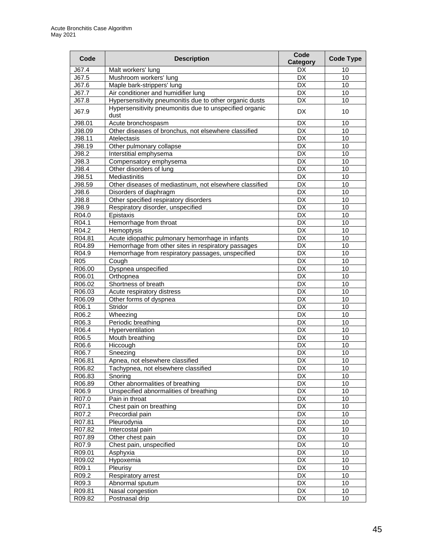| Code            | <b>Description</b>                                              | Code<br><b>Category</b> | <b>Code Type</b> |  |
|-----------------|-----------------------------------------------------------------|-------------------------|------------------|--|
| J67.4           | Malt workers' lung                                              | DX                      | 10               |  |
| J67.5           | Mushroom workers' lung                                          | DX                      | 10               |  |
| J67.6           | Maple bark-strippers' lung                                      | <b>DX</b>               | 10               |  |
| J67.7           | Air conditioner and humidifier lung                             | DX                      | 10               |  |
| J67.8           | Hypersensitivity pneumonitis due to other organic dusts         | DX                      | 10               |  |
| J67.9           | Hypersensitivity pneumonitis due to unspecified organic<br>dust | <b>DX</b>               | 10               |  |
| J98.01          | Acute bronchospasm                                              | DX                      | 10               |  |
| J98.09          | Other diseases of bronchus, not elsewhere classified            | DX                      | 10               |  |
| J98.11          | Atelectasis                                                     | DX                      | 10               |  |
| J98.19          | Other pulmonary collapse                                        | DX                      | 10               |  |
| J98.2           | Interstitial emphysema                                          | DX                      | 10               |  |
| J98.3           | Compensatory emphysema                                          | DX                      | 10               |  |
| J98.4           | Other disorders of lung                                         | DX                      | 10               |  |
| J98.51          | Mediastinitis                                                   | DX                      | 10               |  |
| J98.59          | Other diseases of mediastinum, not elsewhere classified         | DX                      | 10               |  |
| J98.6           | Disorders of diaphragm                                          | DX                      | 10               |  |
| J98.8           | Other specified respiratory disorders                           | DX                      | 10               |  |
| J98.9           | Respiratory disorder, unspecified                               | DX                      | 10               |  |
| R04.0           | Epistaxis                                                       | DX                      | 10               |  |
| R04.1           | Hemorrhage from throat                                          | DX                      | 10               |  |
| R04.2           | Hemoptysis                                                      | <b>DX</b>               | 10               |  |
| R04.81          | Acute idiopathic pulmonary hemorrhage in infants                | <b>DX</b>               | 10               |  |
| R04.89          | Hemorrhage from other sites in respiratory passages             | DX                      | 10               |  |
| R04.9           | Hemorrhage from respiratory passages, unspecified               | DX                      | 10               |  |
| <b>R05</b>      | Cough                                                           | DX                      | 10               |  |
| R06.00          | Dyspnea unspecified                                             | DX                      | 10               |  |
| R06.01          | Orthopnea                                                       | <b>DX</b>               | 10               |  |
| R06.02          | Shortness of breath                                             | DX                      | 10               |  |
| R06.03          | Acute respiratory distress                                      | <b>DX</b>               | 10               |  |
| R06.09          | Other forms of dyspnea                                          | <b>DX</b>               | 10               |  |
| R06.1           | Stridor                                                         | DX                      | 10               |  |
| R06.2           | Wheezing                                                        | DX                      | 10               |  |
| R06.3           | Periodic breathing                                              | DX                      | 10               |  |
| R06.4           | Hyperventilation                                                | $\overline{DX}$         | 10               |  |
| R06.5           | Mouth breathing                                                 | DX                      | 10               |  |
| R06.6           | Hiccough                                                        | DX                      | 10               |  |
| R06.7           | Sneezing                                                        | DX                      | 10               |  |
| R06.81          | Apnea, not elsewhere classified                                 | DX                      | 10               |  |
| R06.82          | Tachypnea, not elsewhere classified                             | DX                      | 10               |  |
| R06.83          | Snoring                                                         | DX                      | 10               |  |
| R06.89          | Other abnormalities of breathing                                | DX                      | 10               |  |
| R06.9           | Unspecified abnormalities of breathing                          | DX                      | 10               |  |
| R07.0           | Pain in throat                                                  | DX                      | 10               |  |
| R07.1           | Chest pain on breathing                                         | DX                      | 10               |  |
| R07.2           | Precordial pain                                                 | <b>DX</b>               | 10               |  |
| R07.81          | Pleurodynia                                                     | DX                      | 10               |  |
|                 |                                                                 | DX                      | 10               |  |
| R07.82          | Intercostal pain<br>Other chest pain                            |                         |                  |  |
| R07.89<br>R07.9 |                                                                 | DX<br>DX                | 10<br>10         |  |
|                 | Chest pain, unspecified                                         |                         |                  |  |
| R09.01          | Asphyxia                                                        | DX                      | 10               |  |
| R09.02          | Hypoxemia                                                       | DX                      | 10               |  |
| R09.1           | Pleurisy                                                        | DX                      | 10               |  |
| R09.2           | Respiratory arrest                                              | DX                      | 10               |  |
| R09.3           | Abnormal sputum                                                 | DX                      | 10               |  |
| R09.81          | Nasal congestion                                                | DX                      | 10               |  |
| R09.82          | Postnasal drip                                                  | DX                      | 10               |  |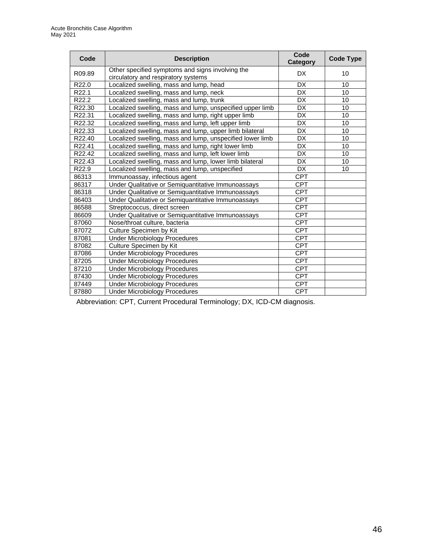| Code              | <b>Description</b>                                                                      | Code<br>Category                   | <b>Code Type</b> |
|-------------------|-----------------------------------------------------------------------------------------|------------------------------------|------------------|
| R09.89            | Other specified symptoms and signs involving the<br>circulatory and respiratory systems | DX.                                | 10               |
| R22.0             | Localized swelling, mass and lump, head                                                 | DX.                                | 10               |
| R <sub>22.1</sub> | Localized swelling, mass and lump, neck                                                 | <b>DX</b>                          | 10               |
| R22.2             | Localized swelling, mass and lump, trunk                                                | <b>DX</b>                          | 10               |
| R22.30            | Localized swelling, mass and lump, unspecified upper limb                               | DX.                                | 10               |
| R22.31            | Localized swelling, mass and lump, right upper limb                                     | DX                                 | 10               |
| R22.32            | Localized swelling, mass and lump, left upper limb                                      | DX                                 | 10               |
| R22.33            | Localized swelling, mass and lump, upper limb bilateral                                 | <b>DX</b>                          | 10               |
| R22.40            | Localized swelling, mass and lump, unspecified lower limb                               | DX                                 | 10               |
| R22.41            | Localized swelling, mass and lump, right lower limb                                     | <b>DX</b>                          | 10               |
| R22.42            | Localized swelling, mass and lump, left lower limb                                      | DX                                 | 10               |
| R22.43            | Localized swelling, mass and lump, lower limb bilateral                                 | $\overline{\mathsf{D} \mathsf{X}}$ | 10               |
| R22.9             | Localized swelling, mass and lump, unspecified                                          | DX                                 | 10               |
| 86313             | Immunoassay, infectious agent                                                           | <b>CPT</b>                         |                  |
| 86317             | Under Qualitative or Semiquantitative Immunoassays                                      | <b>CPT</b>                         |                  |
| 86318             | Under Qualitative or Semiquantitative Immunoassays                                      | <b>CPT</b>                         |                  |
| 86403             | Under Qualitative or Semiquantitative Immunoassays                                      | <b>CPT</b>                         |                  |
| 86588             | Streptococcus, direct screen                                                            | <b>CPT</b>                         |                  |
| 86609             | Under Qualitative or Semiquantitative Immunoassays                                      | <b>CPT</b>                         |                  |
| 87060             | Nose/throat culture, bacteria                                                           | <b>CPT</b>                         |                  |
| 87072             | Culture Specimen by Kit                                                                 | <b>CPT</b>                         |                  |
| 87081             | <b>Under Microbiology Procedures</b>                                                    | <b>CPT</b>                         |                  |
| 87082             | Culture Specimen by Kit                                                                 | <b>CPT</b>                         |                  |
| 87086             | <b>Under Microbiology Procedures</b>                                                    | <b>CPT</b>                         |                  |
| 87205             | <b>Under Microbiology Procedures</b>                                                    | <b>CPT</b>                         |                  |
| 87210             | <b>Under Microbiology Procedures</b>                                                    | <b>CPT</b>                         |                  |
| 87430             | <b>Under Microbiology Procedures</b>                                                    | <b>CPT</b>                         |                  |
| 87449             | <b>Under Microbiology Procedures</b>                                                    | <b>CPT</b>                         |                  |
| 87880             | <b>Under Microbiology Procedures</b>                                                    | <b>CPT</b>                         |                  |

Abbreviation: CPT, Current Procedural Terminology; DX, ICD-CM diagnosis.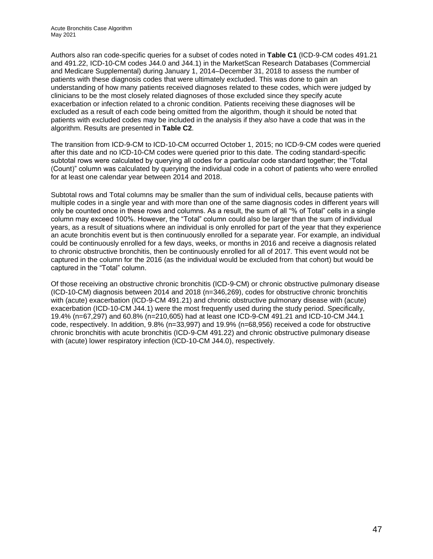Authors also ran code-specific queries for a subset of codes noted in **Table C1** (ICD-9-CM codes 491.21 and 491.22, ICD-10-CM codes J44.0 and J44.1) in the MarketScan Research Databases (Commercial and Medicare Supplemental) during January 1, 2014–December 31, 2018 to assess the number of patients with these diagnosis codes that were ultimately excluded. This was done to gain an understanding of how many patients received diagnoses related to these codes, which were judged by clinicians to be the most closely related diagnoses of those excluded since they specify acute exacerbation or infection related to a chronic condition. Patients receiving these diagnoses will be excluded as a result of each code being omitted from the algorithm, though it should be noted that patients with excluded codes may be included in the analysis if they *also* have a code that was in the algorithm. Results are presented in **Table C2**.

The transition from ICD-9-CM to ICD-10-CM occurred October 1, 2015; no ICD-9-CM codes were queried after this date and no ICD-10-CM codes were queried prior to this date. The coding standard-specific subtotal rows were calculated by querying all codes for a particular code standard together; the "Total (Count)" column was calculated by querying the individual code in a cohort of patients who were enrolled for at least one calendar year between 2014 and 2018.

Subtotal rows and Total columns may be smaller than the sum of individual cells, because patients with multiple codes in a single year and with more than one of the same diagnosis codes in different years will only be counted once in these rows and columns. As a result, the sum of all "% of Total" cells in a single column may exceed 100%. However, the "Total" column could also be larger than the sum of individual years, as a result of situations where an individual is only enrolled for part of the year that they experience an acute bronchitis event but is then continuously enrolled for a separate year. For example, an individual could be continuously enrolled for a few days, weeks, or months in 2016 and receive a diagnosis related to chronic obstructive bronchitis, then be continuously enrolled for all of 2017. This event would not be captured in the column for the 2016 (as the individual would be excluded from that cohort) but would be captured in the "Total" column.

Of those receiving an obstructive chronic bronchitis (ICD-9-CM) or chronic obstructive pulmonary disease (ICD-10-CM) diagnosis between 2014 and 2018 (n=346,269), codes for obstructive chronic bronchitis with (acute) exacerbation (ICD-9-CM 491.21) and chronic obstructive pulmonary disease with (acute) exacerbation (ICD-10-CM J44.1) were the most frequently used during the study period. Specifically, 19.4% (n=67,297) and 60.8% (n=210,605) had at least one ICD-9-CM 491.21 and ICD-10-CM J44.1 code, respectively. In addition, 9.8% (n=33,997) and 19.9% (n=68,956) received a code for obstructive chronic bronchitis with acute bronchitis (ICD-9-CM 491.22) and chronic obstructive pulmonary disease with (acute) lower respiratory infection (ICD-10-CM J44.0), respectively.